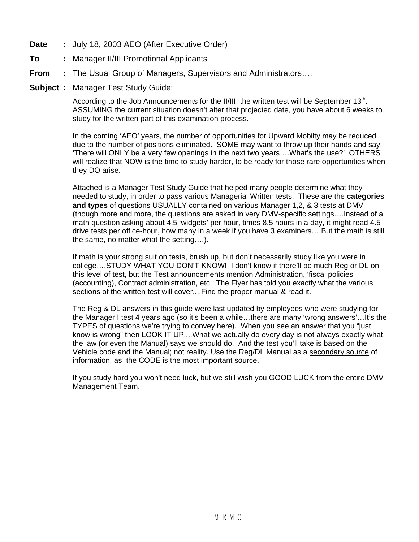- **Date :** July 18, 2003 AEO (After Executive Order)
- **To :** Manager II/III Promotional Applicants
- **From :** The Usual Group of Managers, Supervisors and Administrators….
- **Subject :** Manager Test Study Guide:

According to the Job Announcements for the II/III, the written test will be September 13<sup>th</sup>. ASSUMING the current situation doesn't alter that projected date, you have about 6 weeks to study for the written part of this examination process.

In the coming 'AEO' years, the number of opportunities for Upward Mobilty may be reduced due to the number of positions eliminated. SOME may want to throw up their hands and say, 'There will ONLY be a very few openings in the next two years….What's the use?' OTHERS will realize that NOW is the time to study harder, to be ready for those rare opportunities when they DO arise.

Attached is a Manager Test Study Guide that helped many people determine what they needed to study, in order to pass various Managerial Written tests. These are the **categories and types** of questions USUALLY contained on various Manager 1,2, & 3 tests at DMV (though more and more, the questions are asked in very DMV-specific settings….Instead of a math question asking about 4.5 'widgets' per hour, times 8.5 hours in a day, it might read 4.5 drive tests per office-hour, how many in a week if you have 3 examiners….But the math is still the same, no matter what the setting….).

If math is your strong suit on tests, brush up, but don't necessarily study like you were in college….STUDY WHAT YOU DON'T KNOW! I don't know if there'll be much Reg or DL on this level of test, but the Test announcements mention Administration, 'fiscal policies' (accounting), Contract administration, etc. The Flyer has told you exactly what the various sections of the written test will cover....Find the proper manual & read it.

The Reg & DL answers in this guide were last updated by employees who were studying for the Manager I test 4 years ago (so it's been a while…there are many 'wrong answers'…It's the TYPES of questions we're trying to convey here). When you see an answer that you "just know is wrong" then LOOK IT UP....What we actually do every day is not always exactly what the law (or even the Manual) says we should do. And the test you'll take is based on the Vehicle code and the Manual; not reality. Use the Reg/DL Manual as a secondary source of information, as the CODE is the most important source.

If you study hard you won't need luck, but we still wish you GOOD LUCK from the entire DMV Management Team.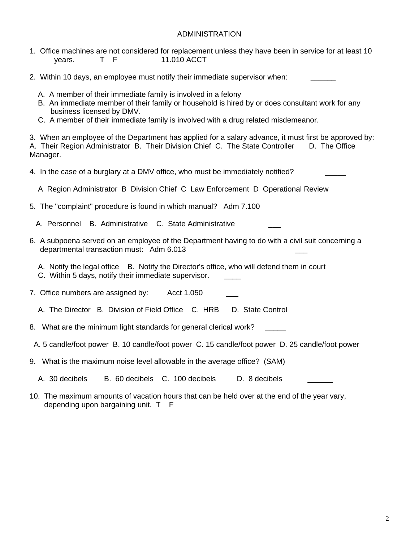#### ADMINISTRATION

- 1. Office machines are not considered for replacement unless they have been in service for at least 10 years. T F 11.010 ACCT
- 2. Within 10 days, an employee must notify their immediate supervisor when:
	- A. A member of their immediate family is involved in a felony
	- B. An immediate member of their family or household is hired by or does consultant work for any business licensed by DMV.
	- C. A member of their immediate family is involved with a drug related misdemeanor.

3. When an employee of the Department has applied for a salary advance, it must first be approved by: A. Their Region Administrator B. Their Division Chief C. The State Controller D. The Office Manager.

- 4. In the case of a burglary at a DMV office, who must be immediately notified?
	- A Region Administrator B Division Chief C Law Enforcement D Operational Review
- 5. The "complaint" procedure is found in which manual? Adm 7.100
	- A. Personnel B. Administrative C. State Administrative
- 6. A subpoena served on an employee of the Department having to do with a civil suit concerning a departmental transaction must: Adm 6.013 \_\_\_
	- A. Notify the legal office B. Notify the Director's office, who will defend them in court
	- C. Within 5 days, notify their immediate supervisor.
- 7. Office numbers are assigned by: Acct 1.050
	- A. The Director B. Division of Field Office C. HRB D. State Control
- 8. What are the minimum light standards for general clerical work?
- A. 5 candle/foot power B. 10 candle/foot power C. 15 candle/foot power D. 25 candle/foot power
- 9. What is the maximum noise level allowable in the average office? (SAM)
	- A. 30 decibels B. 60 decibels C. 100 decibels D. 8 decibels
- 10. The maximum amounts of vacation hours that can be held over at the end of the year vary, depending upon bargaining unit. T F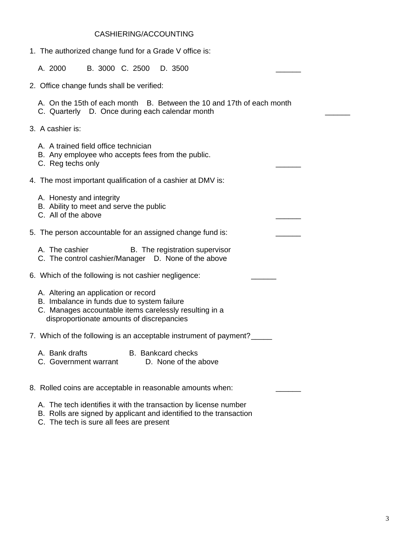### CASHIERING/ACCOUNTING

- 1. The authorized change fund for a Grade V office is: A. 2000 B. 3000 C. 2500 D. 3500 2. Office change funds shall be verified: A. On the 15th of each month B. Between the 10 and 17th of each month C. Quarterly D. Once during each calendar month 3. A cashier is: A. A trained field office technician B. Any employee who accepts fees from the public. C. Reg techs only 4. The most important qualification of a cashier at DMV is: A. Honesty and integrity B. Ability to meet and serve the public C. All of the above 5. The person accountable for an assigned change fund is: A. The cashier **B.** The registration supervisor C. The control cashier/Manager D. None of the above 6. Which of the following is not cashier negligence: A. Altering an application or record B. Imbalance in funds due to system failure C. Manages accountable items carelessly resulting in a disproportionate amounts of discrepancies 7. Which of the following is an acceptable instrument of payment? A. Bank drafts B. Bankcard checks C. Government warrant D. None of the above 8. Rolled coins are acceptable in reasonable amounts when:
	- A. The tech identifies it with the transaction by license number
	- B. Rolls are signed by applicant and identified to the transaction
	- C. The tech is sure all fees are present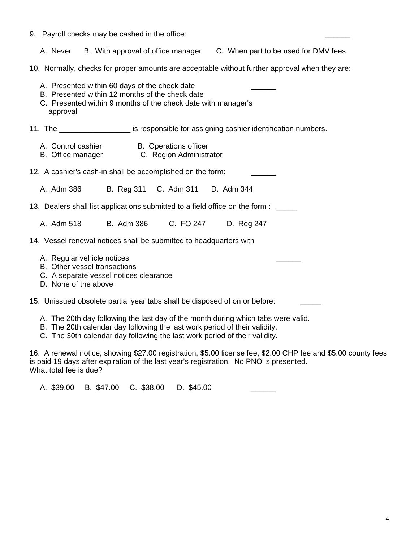- 9. Payroll checks may be cashed in the office:
	- A. Never B. With approval of office manager C. When part to be used for DMV fees
- 10. Normally, checks for proper amounts are acceptable without further approval when they are:
- A. Presented within 60 days of the check date B. Presented within 12 months of the check date C. Presented within 9 months of the check date with manager's approval 11. The **the solution is responsible for assigning cashier identification numbers.** A. Control cashier **B. Operations officer**  B. Office manager C. Region Administrator 12. A cashier's cash-in shall be accomplished on the form: A. Adm 386 B. Reg 311 C. Adm 311 D. Adm 344 13. Dealers shall list applications submitted to a field office on the form : \_\_\_\_\_ A. Adm 518 B. Adm 386 C. FO 247 D. Reg 247 14. Vessel renewal notices shall be submitted to headquarters with
	- A. Regular vehicle notices
	- B. Other vessel transactions
	- C. A separate vessel notices clearance
	- D. None of the above

15. Unissued obsolete partial year tabs shall be disposed of on or before:

- A. The 20th day following the last day of the month during which tabs were valid.
- B. The 20th calendar day following the last work period of their validity.
- C. The 30th calendar day following the last work period of their validity.

16. A renewal notice, showing \$27.00 registration, \$5.00 license fee, \$2.00 CHP fee and \$5.00 county fees is paid 19 days after expiration of the last year's registration. No PNO is presented. What total fee is due?

A. \$39.00 B. \$47.00 C. \$38.00 D. \$45.00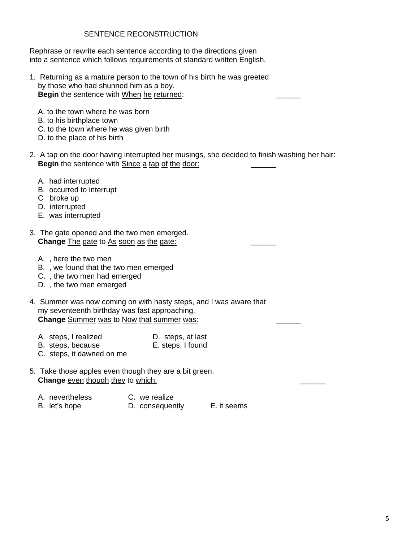## SENTENCE RECONSTRUCTION

Rephrase or rewrite each sentence according to the directions given into a sentence which follows requirements of standard written English.

- 1. Returning as a mature person to the town of his birth he was greeted by those who had shunned him as a boy. **Begin** the sentence with When he returned:
	- A. to the town where he was born
	- B. to his birthplace town
	- C. to the town where he was given birth
	- D. to the place of his birth
- 2. A tap on the door having interrupted her musings, she decided to finish washing her hair: **Begin** the sentence with Since a tap of the door:
	- A. had interrupted
	- B. occurred to interrupt
	- C broke up
	- D. interrupted
	- E. was interrupted
- 3. The gate opened and the two men emerged. Change The gate to As soon as the gate:
	- A. , here the two men
	- B. , we found that the two men emerged
	- C. , the two men had emerged
	- D. , the two men emerged
- 4. Summer was now coming on with hasty steps, and I was aware that my seventeenth birthday was fast approaching. **Change** Summer was to Now that summer was: \_\_\_\_\_\_
	- A. steps, I realized D. steps, at last
	- B. steps, because E. steps, I found
	- C. steps, it dawned on me
- 5. Take those apples even though they are a bit green. Change even though they to which:
	- A. nevertheless C. we realize
	- B. let's hope **D. consequently** E. it seems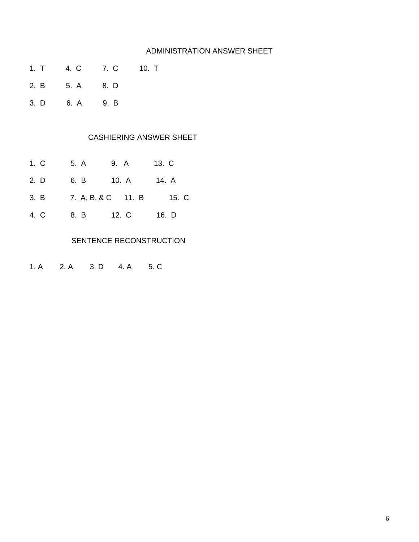#### ADMINISTRATION ANSWER SHEET

- 1. T 4. C 7. C 10. T
- 2. B 5. A 8. D
- 3. D 6. A 9. B

## CASHIERING ANSWER SHEET

- 1. C 5. A 9. A 13. C
- 2. D 6. B 10. A 14. A
- 3. B 7. A, B, & C 11. B 15. C
- 4. C 8. B 12. C 16. D

#### SENTENCE RECONSTRUCTION

1. A 2. A 3. D 4. A 5. C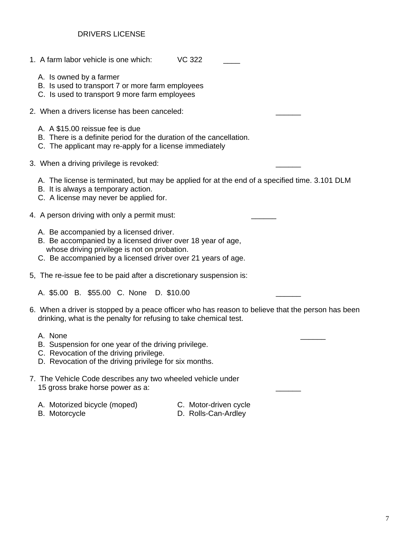### DRIVERS LICENSE

- 1. A farm labor vehicle is one which: VC 322
	- A. Is owned by a farmer
	- B. Is used to transport 7 or more farm employees
	- C. Is used to transport 9 more farm employees
- 2. When a drivers license has been canceled:
	- A. A \$15.00 reissue fee is due
	- B. There is a definite period for the duration of the cancellation.
	- C. The applicant may re-apply for a license immediately
- 3. When a driving privilege is revoked:
	- A. The license is terminated, but may be applied for at the end of a specified time. 3.101 DLM
	- B. It is always a temporary action.
	- C. A license may never be applied for.
- 4. A person driving with only a permit must:
	- A. Be accompanied by a licensed driver.
	- B. Be accompanied by a licensed driver over 18 year of age, whose driving privilege is not on probation.
	- C. Be accompanied by a licensed driver over 21 years of age.
- 5, The re-issue fee to be paid after a discretionary suspension is:
	- A. \$5.00 B. \$55.00 C. None D. \$10.00
- 6. When a driver is stopped by a peace officer who has reason to believe that the person has been drinking, what is the penalty for refusing to take chemical test.
- A. None \_\_\_\_\_\_
	- B. Suspension for one year of the driving privilege.
	- C. Revocation of the driving privilege.
	- D. Revocation of the driving privilege for six months.
- 7. The Vehicle Code describes any two wheeled vehicle under 15 gross brake horse power as a:
	- A. Motorized bicycle (moped) C. Motor-driven cycle
		-
- 
- B. Motorcycle **D. Rolls-Can-Ardley**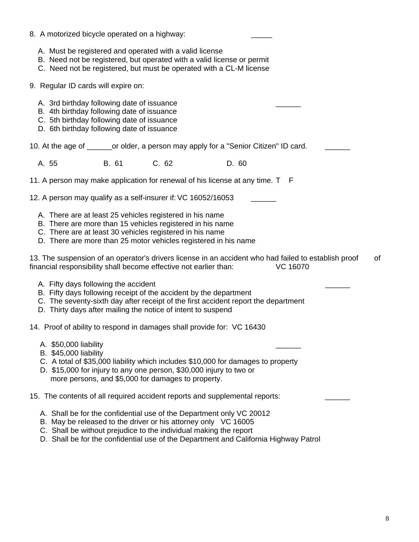| 8. A motorized bicycle operated on a highway:                                                                                                                                        |       |                                                                                                                                                                                                                                                                                                     |       |                 |    |
|--------------------------------------------------------------------------------------------------------------------------------------------------------------------------------------|-------|-----------------------------------------------------------------------------------------------------------------------------------------------------------------------------------------------------------------------------------------------------------------------------------------------------|-------|-----------------|----|
|                                                                                                                                                                                      |       | A. Must be registered and operated with a valid license<br>B. Need not be registered, but operated with a valid license or permit<br>C. Need not be registered, but must be operated with a CL-M license                                                                                            |       |                 |    |
| 9. Regular ID cards will expire on:                                                                                                                                                  |       |                                                                                                                                                                                                                                                                                                     |       |                 |    |
| A. 3rd birthday following date of issuance<br>B. 4th birthday following date of issuance<br>C. 5th birthday following date of issuance<br>D. 6th birthday following date of issuance |       |                                                                                                                                                                                                                                                                                                     |       |                 |    |
|                                                                                                                                                                                      |       | 10. At the age of _______or older, a person may apply for a "Senior Citizen" ID card.                                                                                                                                                                                                               |       |                 |    |
| A. 55                                                                                                                                                                                | B. 61 | C. 62                                                                                                                                                                                                                                                                                               | D. 60 |                 |    |
|                                                                                                                                                                                      |       | 11. A person may make application for renewal of his license at any time. T F                                                                                                                                                                                                                       |       |                 |    |
|                                                                                                                                                                                      |       | 12. A person may qualify as a self-insurer if: VC 16052/16053                                                                                                                                                                                                                                       |       |                 |    |
|                                                                                                                                                                                      |       | A. There are at least 25 vehicles registered in his name<br>B. There are more than 15 vehicles registered in his name<br>C. There are at least 30 vehicles registered in his name<br>D. There are more than 25 motor vehicles registered in his name                                                |       |                 |    |
|                                                                                                                                                                                      |       | 13. The suspension of an operator's drivers license in an accident who had failed to establish proof<br>financial responsibility shall become effective not earlier than:                                                                                                                           |       | <b>VC 16070</b> | of |
| A. Fifty days following the accident                                                                                                                                                 |       | B. Fifty days following receipt of the accident by the department<br>C. The seventy-sixth day after receipt of the first accident report the department<br>D. Thirty days after mailing the notice of intent to suspend                                                                             |       |                 |    |
|                                                                                                                                                                                      |       | 14. Proof of ability to respond in damages shall provide for: VC 16430                                                                                                                                                                                                                              |       |                 |    |
| A. \$50,000 liability<br><b>B.</b> \$45,000 liability                                                                                                                                |       | C. A total of \$35,000 liability which includes \$10,000 for damages to property<br>D. \$15,000 for injury to any one person, \$30,000 injury to two or<br>more persons, and \$5,000 for damages to property.                                                                                       |       |                 |    |
|                                                                                                                                                                                      |       | 15. The contents of all required accident reports and supplemental reports:                                                                                                                                                                                                                         |       |                 |    |
|                                                                                                                                                                                      |       | A. Shall be for the confidential use of the Department only VC 20012<br>B. May be released to the driver or his attorney only VC 16005<br>C. Shall be without prejudice to the individual making the report<br>D. Shall be for the confidential use of the Department and California Highway Patrol |       |                 |    |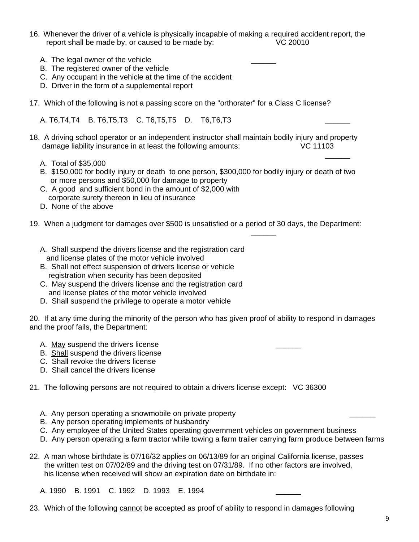- 16. Whenever the driver of a vehicle is physically incapable of making a required accident report, the report shall be made by, or caused to be made by: VC 20010
	- A. The legal owner of the vehicle
	- B. The registered owner of the vehicle
	- C. Any occupant in the vehicle at the time of the accident
	- D. Driver in the form of a supplemental report
- 17. Which of the following is not a passing score on the "orthorater" for a Class C license?

A. T6, T4, T4 B. T6, T5, T3 C. T6, T5, T5 D. T6, T6, T3

- 18. A driving school operator or an independent instructor shall maintain bodily injury and property damage liability insurance in at least the following amounts: VC 11103
- $\mathcal{L}_\mathcal{L}$  , where  $\mathcal{L}_\mathcal{L}$  is the contract of the contract of the contract of the contract of the contract of the contract of the contract of the contract of the contract of the contract of the contract of the A. Total of \$35,000
	- B. \$150,000 for bodily injury or death to one person, \$300,000 for bodily injury or death of two or more persons and \$50,000 for damage to property
	- C. A good and sufficient bond in the amount of \$2,000 with corporate surety thereon in lieu of insurance
	- D. None of the above
- 19. When a judgment for damages over \$500 is unsatisfied or a period of 30 days, the Department:
	- A. Shall suspend the drivers license and the registration card and license plates of the motor vehicle involved

 $\mathcal{L}_\mathcal{L}$  , which is a set of the set of the set of the set of the set of the set of the set of the set of the set of the set of the set of the set of the set of the set of the set of the set of the set of the set of

- B. Shall not effect suspension of drivers license or vehicle registration when security has been deposited
- C. May suspend the drivers license and the registration card and license plates of the motor vehicle involved
- D. Shall suspend the privilege to operate a motor vehicle

20. If at any time during the minority of the person who has given proof of ability to respond in damages and the proof fails, the Department:

- A. May suspend the drivers license
- B. Shall suspend the drivers license
- C. Shall revoke the drivers license
- D. Shall cancel the drivers license
- 21. The following persons are not required to obtain a drivers license except: VC 36300
	- A. Any person operating a snowmobile on private property
	- B. Any person operating implements of husbandry
	- C. Any employee of the United States operating government vehicles on government business
	- D. Any person operating a farm tractor while towing a farm trailer carrying farm produce between farms
- 22. A man whose birthdate is 07/16/32 applies on 06/13/89 for an original California license, passes the written test on 07/02/89 and the driving test on 07/31/89. If no other factors are involved, his license when received will show an expiration date on birthdate in:
	- A. 1990 B. 1991 C. 1992 D. 1993 E. 1994
- 23. Which of the following cannot be accepted as proof of ability to respond in damages following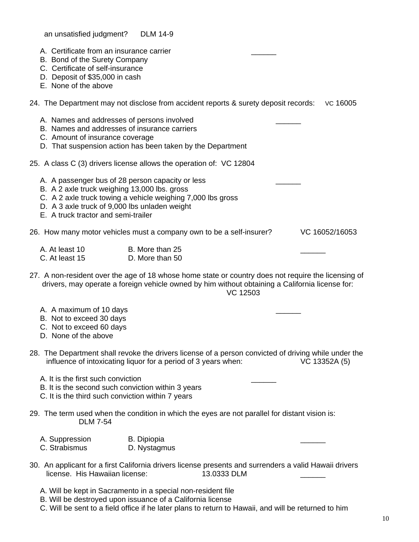an unsatisfied judgment? DLM 14-9

- A. Certificate from an insurance carrier
- B. Bond of the Surety Company
- C. Certificate of self-insurance
- D. Deposit of \$35,000 in cash
- E. None of the above
- 24. The Department may not disclose from accident reports & surety deposit records: VC 16005
	- A. Names and addresses of persons involved
	- B. Names and addresses of insurance carriers
	- C. Amount of insurance coverage
	- D. That suspension action has been taken by the Department
- 25. A class C (3) drivers license allows the operation of: VC 12804
	- A. A passenger bus of 28 person capacity or less
	- B. A 2 axle truck weighing 13,000 lbs. gross
	- C. A 2 axle truck towing a vehicle weighing 7,000 lbs gross
	- D. A 3 axle truck of 9,000 lbs unladen weight
	- E. A truck tractor and semi-trailer

26. How many motor vehicles must a company own to be a self-insurer? VC 16052/16053

| A. At least 10 | B. More than 25 |  |
|----------------|-----------------|--|
| C. At least 15 | D. More than 50 |  |

27. A non-resident over the age of 18 whose home state or country does not require the licensing of drivers, may operate a foreign vehicle owned by him without obtaining a California license for: VC 12503

- A. A maximum of 10 days
- B. Not to exceed 30 days
- C. Not to exceed 60 days
- D. None of the above
- 28. The Department shall revoke the drivers license of a person convicted of driving while under the influence of intoxicating liquor for a period of 3 years when: VC 13352A (5)
	- A. It is the first such conviction
	- B. It is the second such conviction within 3 years
	- C. It is the third such conviction within 7 years
- 29. The term used when the condition in which the eyes are not parallel for distant vision is: DLM 7-54
- A. Suppression B. Dipiopia and the contract of the contract of the contract of the contract of the contract of the contract of the contract of the contract of the contract of the contract of the contract of the contract of C. Strabismus **D. Nystagmus**
- 30. An applicant for a first California drivers license presents and surrenders a valid Hawaii drivers license. His Hawaiian license: 13.0333 DLM
	- A. Will be kept in Sacramento in a special non-resident file
	- B. Will be destroyed upon issuance of a California license
	- C. Will be sent to a field office if he later plans to return to Hawaii, and will be returned to him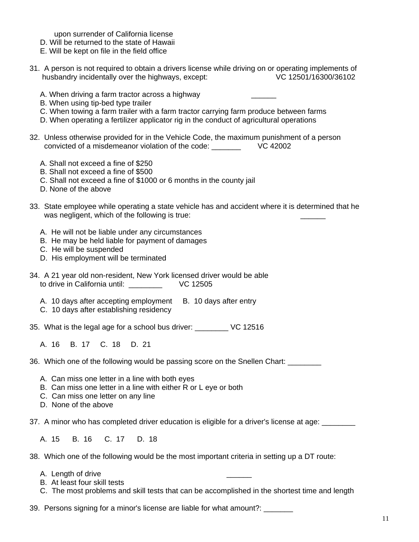upon surrender of California license

- D. Will be returned to the state of Hawaii
- E. Will be kept on file in the field office
- 31. A person is not required to obtain a drivers license while driving on or operating implements of husbandry incidentally over the highways, except: VC 12501/16300/36102
	- A. When driving a farm tractor across a highway
	- B. When using tip-bed type trailer
	- C. When towing a farm trailer with a farm tractor carrying farm produce between farms
	- D. When operating a fertilizer applicator rig in the conduct of agricultural operations
- 32. Unless otherwise provided for in the Vehicle Code, the maximum punishment of a person convicted of a misdemeanor violation of the code: \_\_\_\_\_\_\_ VC 42002
	- A. Shall not exceed a fine of \$250
	- B. Shall not exceed a fine of \$500
	- C. Shall not exceed a fine of \$1000 or 6 months in the county jail
	- D. None of the above
- 33. State employee while operating a state vehicle has and accident where it is determined that he was negligent, which of the following is true:
	- A. He will not be liable under any circumstances
	- B. He may be held liable for payment of damages
	- C. He will be suspended
	- D. His employment will be terminated
- 34. A 21 year old non-resident, New York licensed driver would be able to drive in California until: \_\_\_\_\_\_\_\_ VC 12505
	- A. 10 days after accepting employment B. 10 days after entry
	- C. 10 days after establishing residency
- 35. What is the legal age for a school bus driver: \_\_\_\_\_\_\_\_ VC 12516

A. 16 B. 17 C. 18 D. 21

36. Which one of the following would be passing score on the Snellen Chart: \_\_\_\_\_\_\_\_

- A. Can miss one letter in a line with both eyes
- B. Can miss one letter in a line with either R or L eye or both
- C. Can miss one letter on any line
- D. None of the above

37. A minor who has completed driver education is eligible for a driver's license at age:

A. 15 B. 16 C. 17 D. 18

38. Which one of the following would be the most important criteria in setting up a DT route:

- A. Length of drive
- B. At least four skill tests
- C. The most problems and skill tests that can be accomplished in the shortest time and length

39. Persons signing for a minor's license are liable for what amount?: \_\_\_\_\_\_\_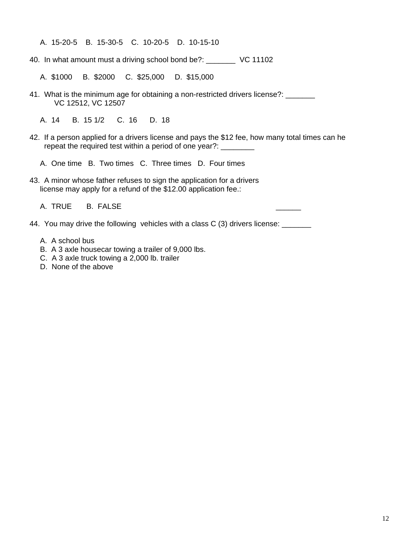A. 15-20-5 B. 15-30-5 C. 10-20-5 D. 10-15-10

40. In what amount must a driving school bond be?: \_\_\_\_\_\_\_ VC 11102

A. \$1000 B. \$2000 C. \$25,000 D. \$15,000

- 41. What is the minimum age for obtaining a non-restricted drivers license?: \_\_\_\_\_ VC 12512, VC 12507
	- A. 14 B. 15 1/2 C. 16 D. 18
- 42. If a person applied for a drivers license and pays the \$12 fee, how many total times can he repeat the required test within a period of one year?: \_\_\_\_\_\_\_

A. One time B. Two times C. Three times D. Four times

43. A minor whose father refuses to sign the application for a drivers license may apply for a refund of the \$12.00 application fee.:

A. TRUE B. FALSE

44. You may drive the following vehicles with a class C (3) drivers license: \_\_\_\_\_\_

- A. A school bus
- B. A 3 axle housecar towing a trailer of 9,000 lbs.
- C. A 3 axle truck towing a 2,000 lb. trailer
- D. None of the above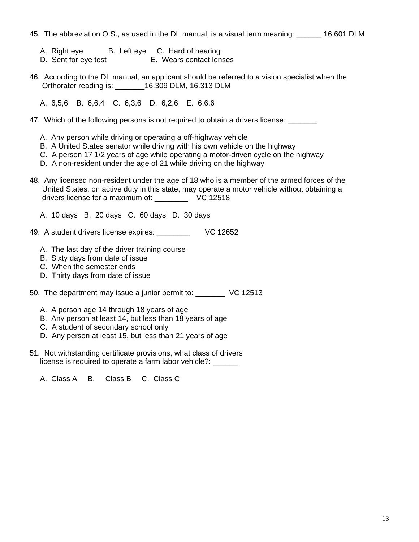45. The abbreviation O.S., as used in the DL manual, is a visual term meaning: \_\_\_\_\_\_ 16.601 DLM

- A. Right eye B. Left eye C. Hard of hearing
- D. Sent for eye test E. Wears contact lenses
- 46. According to the DL manual, an applicant should be referred to a vision specialist when the Orthorater reading is: \_\_\_\_\_\_\_16.309 DLM, 16.313 DLM

A. 6,5,6 B. 6,6,4 C. 6,3,6 D. 6,2,6 E. 6,6,6

- 47. Which of the following persons is not required to obtain a drivers license: \_\_\_\_\_\_
	- A. Any person while driving or operating a off-highway vehicle
	- B. A United States senator while driving with his own vehicle on the highway
	- C. A person 17 1/2 years of age while operating a motor-driven cycle on the highway
	- D. A non-resident under the age of 21 while driving on the highway
- 48. Any licensed non-resident under the age of 18 who is a member of the armed forces of the United States, on active duty in this state, may operate a motor vehicle without obtaining a drivers license for a maximum of: \_\_\_\_\_\_\_\_ VC 12518
	- A. 10 days B. 20 days C. 60 days D. 30 days
- 49. A student drivers license expires: \_\_\_\_\_\_\_\_ VC 12652
	- A. The last day of the driver training course
	- B. Sixty days from date of issue
	- C. When the semester ends
	- D. Thirty days from date of issue
- 50. The department may issue a junior permit to: \_\_\_\_\_\_\_ VC 12513
	- A. A person age 14 through 18 years of age
	- B. Any person at least 14, but less than 18 years of age
	- C. A student of secondary school only
	- D. Any person at least 15, but less than 21 years of age
- 51. Not withstanding certificate provisions, what class of drivers license is required to operate a farm labor vehicle?: \_\_\_\_\_\_
	- A. Class A B. Class B C. Class C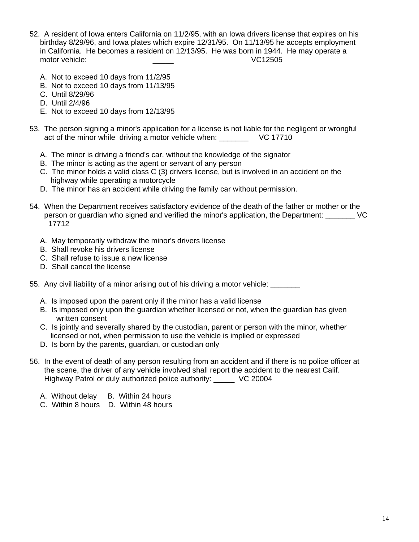- 52. A resident of Iowa enters California on 11/2/95, with an Iowa drivers license that expires on his birthday 8/29/96, and Iowa plates which expire 12/31/95. On 11/13/95 he accepts employment in California. He becomes a resident on 12/13/95. He was born in 1944. He may operate a motor vehicle: \_\_\_\_\_ VC12505
	- A. Not to exceed 10 days from 11/2/95
	- B. Not to exceed 10 days from 11/13/95
	- C. Until 8/29/96
	- D. Until 2/4/96
	- E. Not to exceed 10 days from 12/13/95
- 53. The person signing a minor's application for a license is not liable for the negligent or wrongful act of the minor while driving a motor vehicle when: VC 17710
	- A. The minor is driving a friend's car, without the knowledge of the signator
	- B. The minor is acting as the agent or servant of any person
	- C. The minor holds a valid class C (3) drivers license, but is involved in an accident on the highway while operating a motorcycle
	- D. The minor has an accident while driving the family car without permission.
- 54. When the Department receives satisfactory evidence of the death of the father or mother or the person or guardian who signed and verified the minor's application, the Department: \_\_\_\_\_\_\_ VC 17712
	- A. May temporarily withdraw the minor's drivers license
	- B. Shall revoke his drivers license
	- C. Shall refuse to issue a new license
	- D. Shall cancel the license
- 55. Any civil liability of a minor arising out of his driving a motor vehicle:
	- A. Is imposed upon the parent only if the minor has a valid license
	- B. Is imposed only upon the guardian whether licensed or not, when the guardian has given written consent
	- C. Is jointly and severally shared by the custodian, parent or person with the minor, whether licensed or not, when permission to use the vehicle is implied or expressed
	- D. Is born by the parents, guardian, or custodian only
- 56. In the event of death of any person resulting from an accident and if there is no police officer at the scene, the driver of any vehicle involved shall report the accident to the nearest Calif. Highway Patrol or duly authorized police authority: \_\_\_\_\_ VC 20004
	- A. Without delay B. Within 24 hours
	- C. Within 8 hours D. Within 48 hours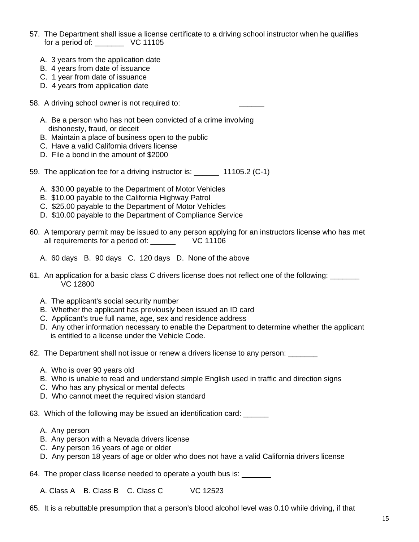- 57. The Department shall issue a license certificate to a driving school instructor when he qualifies for a period of:  $\sqrt{C}$  11105
	- A. 3 years from the application date
	- B. 4 years from date of issuance
	- C. 1 year from date of issuance
	- D. 4 years from application date
- 58. A driving school owner is not required to:
	- A. Be a person who has not been convicted of a crime involving dishonesty, fraud, or deceit
	- B. Maintain a place of business open to the public
	- C. Have a valid California drivers license
	- D. File a bond in the amount of \$2000
- 59. The application fee for a driving instructor is: \_\_\_\_\_\_ 11105.2 (C-1)
	- A. \$30.00 payable to the Department of Motor Vehicles
	- B. \$10.00 payable to the California Highway Patrol
	- C. \$25.00 payable to the Department of Motor Vehicles
	- D. \$10.00 payable to the Department of Compliance Service
- 60. A temporary permit may be issued to any person applying for an instructors license who has met all requirements for a period of: \_\_\_\_\_\_\_ VC 11106
	- A. 60 days B. 90 days C. 120 days D. None of the above
- 61. An application for a basic class C drivers license does not reflect one of the following: \_\_\_\_\_\_\_ VC 12800
	- A. The applicant's social security number
	- B. Whether the applicant has previously been issued an ID card
	- C. Applicant's true full name, age, sex and residence address
	- D. Any other information necessary to enable the Department to determine whether the applicant is entitled to a license under the Vehicle Code.
- 62. The Department shall not issue or renew a drivers license to any person: \_\_\_\_\_\_
	- A. Who is over 90 years old
	- B. Who is unable to read and understand simple English used in traffic and direction signs
	- C. Who has any physical or mental defects
	- D. Who cannot meet the required vision standard

63. Which of the following may be issued an identification card: \_\_\_\_\_\_

- A. Any person
- B. Any person with a Nevada drivers license
- C. Any person 16 years of age or older
- D. Any person 18 years of age or older who does not have a valid California drivers license

64. The proper class license needed to operate a youth bus is: \_\_\_\_\_\_\_

A. Class A B. Class B C. Class C VC 12523

65. It is a rebuttable presumption that a person's blood alcohol level was 0.10 while driving, if that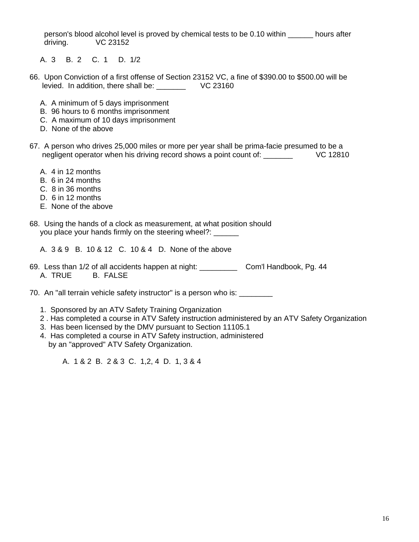person's blood alcohol level is proved by chemical tests to be 0.10 within \_\_\_\_\_\_ hours after driving. VC 23152

A. 3 B. 2 C. 1 D. 1/2

- 66. Upon Conviction of a first offense of Section 23152 VC, a fine of \$390.00 to \$500.00 will be levied. In addition, there shall be: \_\_\_\_\_\_\_ VC 23160
	- A. A minimum of 5 days imprisonment
	- B. 96 hours to 6 months imprisonment
	- C. A maximum of 10 days imprisonment
	- D. None of the above
- 67. A person who drives 25,000 miles or more per year shall be prima-facie presumed to be a negligent operator when his driving record shows a point count of: \_\_\_\_\_\_\_\_ VC 12810
	- A. 4 in 12 months
	- B. 6 in 24 months
	- C. 8 in 36 months
	- D. 6 in 12 months
	- E. None of the above
- 68. Using the hands of a clock as measurement, at what position should you place your hands firmly on the steering wheel?: \_\_\_\_\_\_
	- A. 3 & 9 B. 10 & 12 C. 10 & 4 D. None of the above
- 69. Less than 1/2 of all accidents happen at night: \_\_\_\_\_\_\_\_\_ Com'l Handbook, Pg. 44 A. TRUE B. FALSE

70. An "all terrain vehicle safety instructor" is a person who is: \_\_\_\_\_\_\_\_

- 1. Sponsored by an ATV Safety Training Organization
- 2 . Has completed a course in ATV Safety instruction administered by an ATV Safety Organization
- 3. Has been licensed by the DMV pursuant to Section 11105.1
- 4. Has completed a course in ATV Safety instruction, administered by an "approved" ATV Safety Organization.

A. 1 & 2 B. 2 & 3 C. 1,2, 4 D. 1, 3 & 4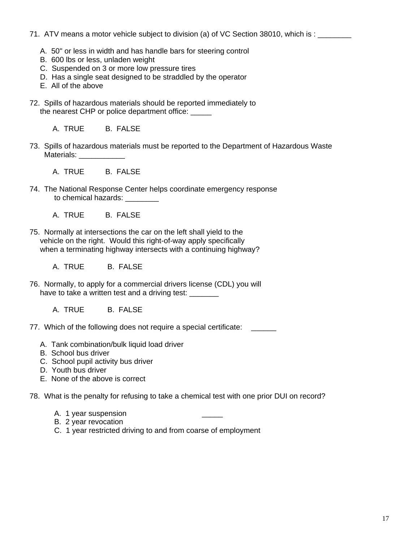- 71. ATV means a motor vehicle subject to division (a) of VC Section 38010, which is : \_\_\_\_\_\_\_
	- A. 50" or less in width and has handle bars for steering control
	- B. 600 lbs or less, unladen weight
	- C. Suspended on 3 or more low pressure tires
	- D. Has a single seat designed to be straddled by the operator
	- E. All of the above
- 72. Spills of hazardous materials should be reported immediately to the nearest CHP or police department office:
	- A. TRUE B. FALSE
- 73. Spills of hazardous materials must be reported to the Department of Hazardous Waste Materials:

A. TRUE B. FALSE

- 74. The National Response Center helps coordinate emergency response to chemical hazards:
	- A. TRUE B. FALSE
- 75. Normally at intersections the car on the left shall yield to the vehicle on the right. Would this right-of-way apply specifically when a terminating highway intersects with a continuing highway?

A. TRUE B. FALSE

- 76. Normally, to apply for a commercial drivers license (CDL) you will have to take a written test and a driving test:
	- A. TRUE B. FALSE
- 77. Which of the following does not require a special certificate: \_\_\_\_\_\_
	- A. Tank combination/bulk liquid load driver
	- B. School bus driver
	- C. School pupil activity bus driver
	- D. Youth bus driver
	- E. None of the above is correct
- 78. What is the penalty for refusing to take a chemical test with one prior DUI on record?
	- A. 1 year suspension
	- B. 2 year revocation
	- C. 1 year restricted driving to and from coarse of employment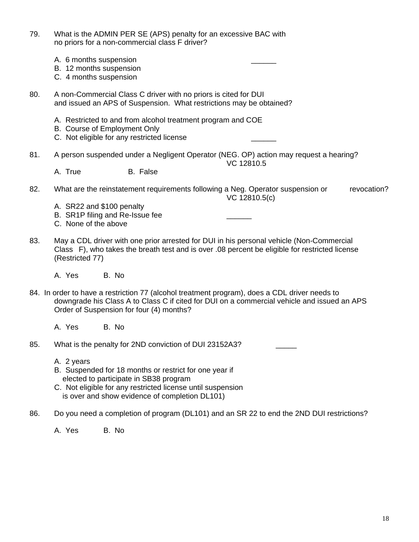| 79. | What is the ADMIN PER SE (APS) penalty for an excessive BAC with<br>no priors for a non-commercial class F driver?                                                                                                                       |
|-----|------------------------------------------------------------------------------------------------------------------------------------------------------------------------------------------------------------------------------------------|
|     | A. 6 months suspension<br>B. 12 months suspension<br>C. 4 months suspension                                                                                                                                                              |
| 80. | A non-Commercial Class C driver with no priors is cited for DUI<br>and issued an APS of Suspension. What restrictions may be obtained?                                                                                                   |
|     | A. Restricted to and from alcohol treatment program and COE<br>B. Course of Employment Only<br>C. Not eligible for any restricted license                                                                                                |
| 81. | A person suspended under a Negligent Operator (NEG. OP) action may request a hearing?<br>VC 12810.5                                                                                                                                      |
|     | B. False<br>A. True                                                                                                                                                                                                                      |
| 82. | What are the reinstatement requirements following a Neg. Operator suspension or<br>revocation?<br>VC 12810.5(c)                                                                                                                          |
|     | A. SR22 and \$100 penalty<br>B. SR1P filing and Re-Issue fee<br>C. None of the above                                                                                                                                                     |
| 83. | May a CDL driver with one prior arrested for DUI in his personal vehicle (Non-Commercial<br>Class F), who takes the breath test and is over .08 percent be eligible for restricted license<br>(Restricted 77)                            |
|     | A. Yes<br>B. No                                                                                                                                                                                                                          |
|     | 84. In order to have a restriction 77 (alcohol treatment program), does a CDL driver needs to<br>downgrade his Class A to Class C if cited for DUI on a commercial vehicle and issued an APS<br>Order of Suspension for four (4) months? |
|     | A. Yes<br>B. No                                                                                                                                                                                                                          |
| 85. | What is the penalty for 2ND conviction of DUI 23152A3?                                                                                                                                                                                   |
|     | A. 2 years<br>B. Suspended for 18 months or restrict for one year if<br>elected to participate in SB38 program<br>C. Not eligible for any restricted license until suspension<br>is over and show evidence of completion DL101)          |
| 86. | Do you need a completion of program (DL101) and an SR 22 to end the 2ND DUI restrictions?                                                                                                                                                |
|     | A. Yes<br>B. No                                                                                                                                                                                                                          |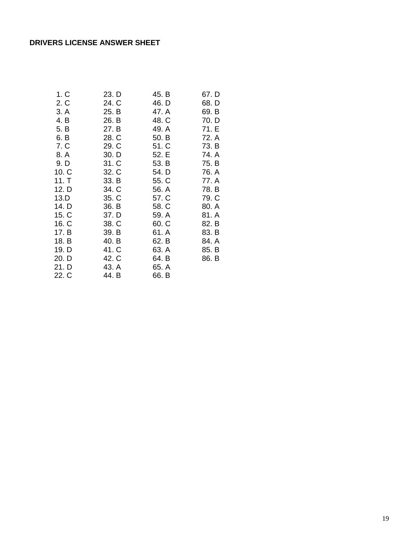# **DRIVERS LICENSE ANSWER SHEET**

| 1. C  | 23. D | 45. B | 67. D |
|-------|-------|-------|-------|
| 2. C  | 24. C | 46. D | 68. D |
| 3. A  | 25. B | 47. A | 69. B |
| 4. B  | 26. B | 48. C | 70. D |
| 5. B  | 27. B | 49. A | 71. E |
| 6. B  | 28. C | 50. B | 72. A |
| 7. C  | 29. C | 51. C | 73. B |
| 8. A  | 30. D | 52. E | 74. A |
| 9. D  | 31. C | 53. B | 75. B |
| 10. C | 32. C | 54. D | 76. A |
| 11. T | 33. B | 55. C | 77. A |
| 12. D | 34. C | 56. A | 78. B |
| 13.D  | 35. C | 57. C | 79. C |
| 14. D | 36. B | 58. C | 80. A |
| 15. C | 37. D | 59. A | 81. A |
| 16. C | 38. C | 60. C | 82. B |
| 17. B | 39. B | 61. A | 83. B |
| 18. B | 40. B | 62. B | 84. A |
| 19. D | 41. C | 63. A | 85. B |
| 20. D | 42. C | 64. B | 86. B |
| 21. D | 43. A | 65. A |       |
| 22. C | 44. B | 66. B |       |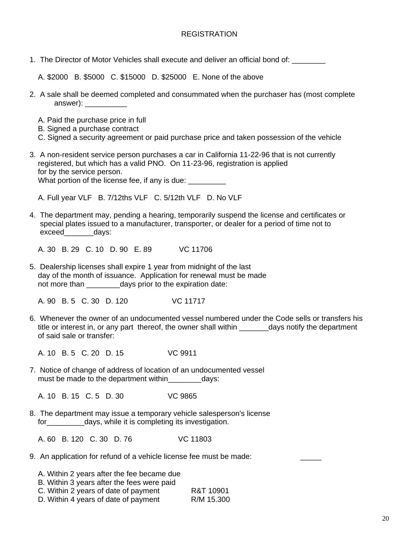### REGISTRATION

1. The Director of Motor Vehicles shall execute and deliver an official bond of: \_\_\_\_\_\_\_\_

A. \$2000 B. \$5000 C. \$15000 D. \$25000 E. None of the above

- 2. A sale shall be deemed completed and consummated when the purchaser has (most complete answer): \_\_\_\_\_\_\_\_\_\_\_\_\_
	- A. Paid the purchase price in full
	- B. Signed a purchase contract
	- C. Signed a security agreement or paid purchase price and taken possession of the vehicle
- 3. A non-resident service person purchases a car in California 11-22-96 that is not currently registered, but which has a valid PNO. On 11-23-96, registration is applied for by the service person.

What portion of the license fee, if any is due:

A. Full year VLF B. 7/12ths VLF C. 5/12th VLF D. No VLF

4. The department may, pending a hearing, temporarily suspend the license and certificates or special plates issued to a manufacturer, transporter, or dealer for a period of time not to exceed\_\_\_\_\_\_\_days:

A. 30 B. 29 C. 10 D. 90 E. 89 VC 11706

5. Dealership licenses shall expire 1 year from midnight of the last day of the month of issuance. Application for renewal must be made not more than \_\_\_\_\_\_\_\_days prior to the expiration date:

A. 90 B. 5 C. 30 D. 120 VC 11717

6. Whenever the owner of an undocumented vessel numbered under the Code sells or transfers his title or interest in, or any part thereof, the owner shall within \_\_\_\_\_\_\_\_days notify the department of said sale or transfer:

A. 10 B. 5 C. 20 D. 15 VC 9911

7. Notice of change of address of location of an undocumented vessel must be made to the department within days:

A. 10 B. 15 C. 5 D. 30 VC 9865

8. The department may issue a temporary vehicle salesperson's license for days, while it is completing its investigation.

A. 60 B. 120 C. 30 D. 76 VC 11803

9. An application for refund of a vehicle license fee must be made:

| A. Within 2 years after the fee became due |            |
|--------------------------------------------|------------|
| B. Within 3 years after the fees were paid |            |
| C. Within 2 years of date of payment       | R&T 10901  |
| D. Within 4 years of date of payment       | R/M 15.300 |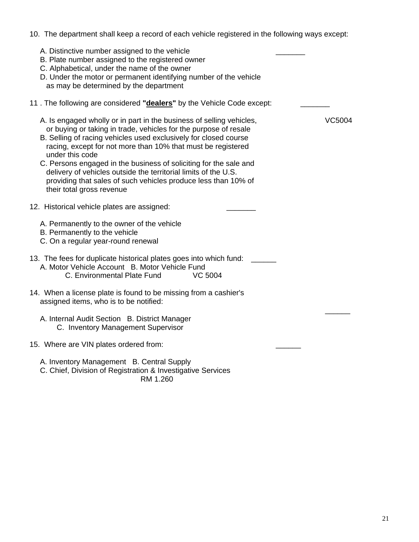| 10. The department shall keep a record of each vehicle registered in the following ways except:                                                                                                                                                                                                                                                                                                                                                                                                                                                         |  |
|---------------------------------------------------------------------------------------------------------------------------------------------------------------------------------------------------------------------------------------------------------------------------------------------------------------------------------------------------------------------------------------------------------------------------------------------------------------------------------------------------------------------------------------------------------|--|
| A. Distinctive number assigned to the vehicle<br>B. Plate number assigned to the registered owner<br>C. Alphabetical, under the name of the owner<br>D. Under the motor or permanent identifying number of the vehicle<br>as may be determined by the department                                                                                                                                                                                                                                                                                        |  |
| 11. The following are considered "dealers" by the Vehicle Code except:                                                                                                                                                                                                                                                                                                                                                                                                                                                                                  |  |
| A. Is engaged wholly or in part in the business of selling vehicles,<br><b>VC5004</b><br>or buying or taking in trade, vehicles for the purpose of resale<br>B. Selling of racing vehicles used exclusively for closed course<br>racing, except for not more than 10% that must be registered<br>under this code<br>C. Persons engaged in the business of soliciting for the sale and<br>delivery of vehicles outside the territorial limits of the U.S.<br>providing that sales of such vehicles produce less than 10% of<br>their total gross revenue |  |
| 12. Historical vehicle plates are assigned:                                                                                                                                                                                                                                                                                                                                                                                                                                                                                                             |  |
| A. Permanently to the owner of the vehicle<br>B. Permanently to the vehicle<br>C. On a regular year-round renewal                                                                                                                                                                                                                                                                                                                                                                                                                                       |  |
| 13. The fees for duplicate historical plates goes into which fund:<br>A. Motor Vehicle Account B. Motor Vehicle Fund<br>C. Environmental Plate Fund<br><b>VC 5004</b>                                                                                                                                                                                                                                                                                                                                                                                   |  |
| 14. When a license plate is found to be missing from a cashier's<br>assigned items, who is to be notified:                                                                                                                                                                                                                                                                                                                                                                                                                                              |  |
| A. Internal Audit Section B. District Manager<br>C. Inventory Management Supervisor                                                                                                                                                                                                                                                                                                                                                                                                                                                                     |  |
| 15. Where are VIN plates ordered from:                                                                                                                                                                                                                                                                                                                                                                                                                                                                                                                  |  |
| A. Inventory Management B. Central Supply                                                                                                                                                                                                                                                                                                                                                                                                                                                                                                               |  |

 C. Chief, Division of Registration & Investigative Services **RM 1.260**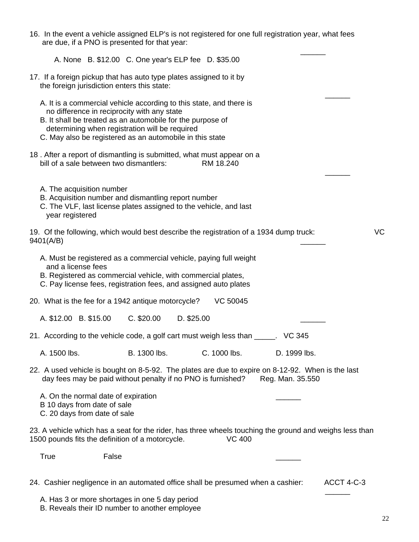|                                                                                                    |       | 16. In the event a vehicle assigned ELP's is not registered for one full registration year, what fees<br>are due, if a PNO is presented for that year:                                                                                                                                         |            |                 |                  |                                                                                                         |           |
|----------------------------------------------------------------------------------------------------|-------|------------------------------------------------------------------------------------------------------------------------------------------------------------------------------------------------------------------------------------------------------------------------------------------------|------------|-----------------|------------------|---------------------------------------------------------------------------------------------------------|-----------|
|                                                                                                    |       | A. None B. \$12.00 C. One year's ELP fee D. \$35.00                                                                                                                                                                                                                                            |            |                 |                  |                                                                                                         |           |
|                                                                                                    |       | 17. If a foreign pickup that has auto type plates assigned to it by<br>the foreign jurisdiction enters this state:                                                                                                                                                                             |            |                 |                  |                                                                                                         |           |
|                                                                                                    |       | A. It is a commercial vehicle according to this state, and there is<br>no difference in reciprocity with any state<br>B. It shall be treated as an automobile for the purpose of<br>determining when registration will be required<br>C. May also be registered as an automobile in this state |            |                 |                  |                                                                                                         |           |
| bill of a sale between two dismantlers:                                                            |       | 18. After a report of dismantling is submitted, what must appear on a                                                                                                                                                                                                                          |            | RM 18.240       |                  |                                                                                                         |           |
| A. The acquisition number<br>year registered                                                       |       | B. Acquisition number and dismantling report number<br>C. The VLF, last license plates assigned to the vehicle, and last                                                                                                                                                                       |            |                 |                  |                                                                                                         |           |
| 9401(A/B)                                                                                          |       | 19. Of the following, which would best describe the registration of a 1934 dump truck:                                                                                                                                                                                                         |            |                 |                  |                                                                                                         | <b>VC</b> |
| and a license fees                                                                                 |       | A. Must be registered as a commercial vehicle, paying full weight<br>B. Registered as commercial vehicle, with commercial plates,<br>C. Pay license fees, registration fees, and assigned auto plates                                                                                          |            |                 |                  |                                                                                                         |           |
|                                                                                                    |       | 20. What is the fee for a 1942 antique motorcycle?                                                                                                                                                                                                                                             |            | <b>VC 50045</b> |                  |                                                                                                         |           |
| A. \$12.00 B. \$15.00                                                                              |       | $C.$ \$20.00                                                                                                                                                                                                                                                                                   | D. \$25.00 |                 |                  |                                                                                                         |           |
|                                                                                                    |       | 21. According to the vehicle code, a golf cart must weigh less than _____. VC 345                                                                                                                                                                                                              |            |                 |                  |                                                                                                         |           |
| A. 1500 lbs.                                                                                       |       | B. 1300 lbs.                                                                                                                                                                                                                                                                                   |            | C. 1000 lbs.    | D. 1999 lbs.     |                                                                                                         |           |
|                                                                                                    |       | 22. A used vehicle is bought on 8-5-92. The plates are due to expire on 8-12-92. When is the last<br>day fees may be paid without penalty if no PNO is furnished?                                                                                                                              |            |                 | Reg. Man. 35.550 |                                                                                                         |           |
| A. On the normal date of expiration<br>B 10 days from date of sale<br>C. 20 days from date of sale |       |                                                                                                                                                                                                                                                                                                |            |                 |                  |                                                                                                         |           |
|                                                                                                    |       | 1500 pounds fits the definition of a motorcycle.                                                                                                                                                                                                                                               |            | <b>VC 400</b>   |                  | 23. A vehicle which has a seat for the rider, has three wheels touching the ground and weighs less than |           |
| True                                                                                               | False |                                                                                                                                                                                                                                                                                                |            |                 |                  |                                                                                                         |           |
|                                                                                                    |       | 24. Cashier negligence in an automated office shall be presumed when a cashier:                                                                                                                                                                                                                |            |                 |                  | ACCT 4-C-3                                                                                              |           |
|                                                                                                    |       | A. Has 3 or more shortages in one 5 day period<br>B. Reveals their ID number to another employee                                                                                                                                                                                               |            |                 |                  |                                                                                                         |           |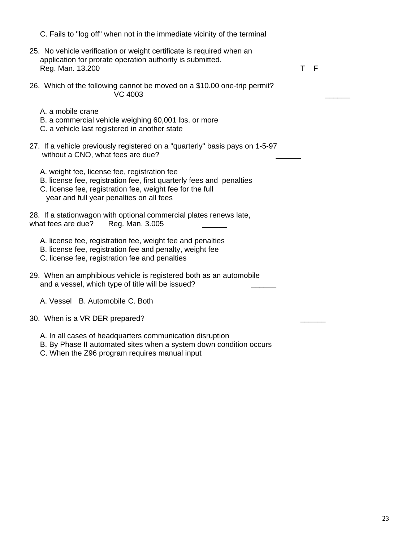C. Fails to "log off" when not in the immediate vicinity of the terminal 25. No vehicle verification or weight certificate is required when an application for prorate operation authority is submitted. Reg. Man. 13.200 T F 26. Which of the following cannot be moved on a \$10.00 one-trip permit?  $VC$  4003 A. a mobile crane B. a commercial vehicle weighing 60,001 lbs. or more C. a vehicle last registered in another state 27. If a vehicle previously registered on a "quarterly" basis pays on 1-5-97 without a CNO, what fees are due? A. weight fee, license fee, registration fee B. license fee, registration fee, first quarterly fees and penalties C. license fee, registration fee, weight fee for the full year and full year penalties on all fees 28. If a stationwagon with optional commercial plates renews late, what fees are due? Reg. Man. 3.005 A. license fee, registration fee, weight fee and penalties B. license fee, registration fee and penalty, weight fee C. license fee, registration fee and penalties 29. When an amphibious vehicle is registered both as an automobile and a vessel, which type of title will be issued? A. Vessel B. Automobile C. Both 30. When is a VR DER prepared? A. In all cases of headquarters communication disruption B. By Phase II automated sites when a system down condition occurs C. When the Z96 program requires manual input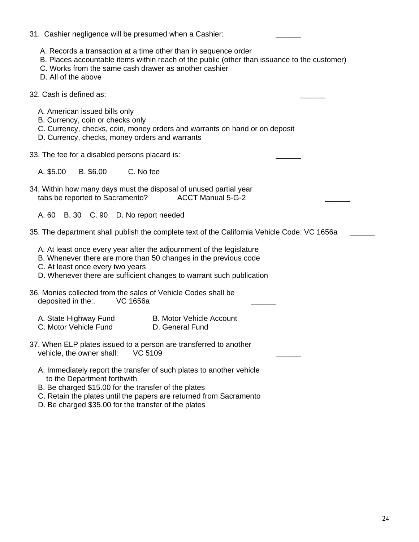| 31. Cashier negligence will be presumed when a Cashier:                                                                                                                                                                                                                                   |
|-------------------------------------------------------------------------------------------------------------------------------------------------------------------------------------------------------------------------------------------------------------------------------------------|
| A. Records a transaction at a time other than in sequence order<br>B. Places accountable items within reach of the public (other than issuance to the customer)<br>C. Works from the same cash drawer as another cashier<br>D. All of the above                                           |
| 32. Cash is defined as:                                                                                                                                                                                                                                                                   |
| A. American issued bills only<br>B. Currency, coin or checks only<br>C. Currency, checks, coin, money orders and warrants on hand or on deposit<br>D. Currency, checks, money orders and warrants                                                                                         |
| 33. The fee for a disabled persons placard is:                                                                                                                                                                                                                                            |
| A. \$5.00<br>B. \$6.00<br>C. No fee                                                                                                                                                                                                                                                       |
| 34. Within how many days must the disposal of unused partial year<br><b>ACCT Manual 5-G-2</b><br>tabs be reported to Sacramento?                                                                                                                                                          |
| A. 60 B. 30 C. 90 D. No report needed                                                                                                                                                                                                                                                     |
| 35. The department shall publish the complete text of the California Vehicle Code: VC 1656a                                                                                                                                                                                               |
| A. At least once every year after the adjournment of the legislature<br>B. Whenever there are more than 50 changes in the previous code<br>C. At least once every two years<br>D. Whenever there are sufficient changes to warrant such publication                                       |
| 36. Monies collected from the sales of Vehicle Codes shall be<br>deposited in the:.<br>VC 1656a                                                                                                                                                                                           |
| A. State Highway Fund<br><b>B. Motor Vehicle Account</b><br>C. Motor Vehicle Fund<br>D. General Fund                                                                                                                                                                                      |
| 37. When ELP plates issued to a person are transferred to another<br><b>VC 5109</b><br>vehicle, the owner shall:                                                                                                                                                                          |
| A. Immediately report the transfer of such plates to another vehicle<br>to the Department forthwith<br>B. Be charged \$15.00 for the transfer of the plates<br>C. Retain the plates until the papers are returned from Sacramento<br>D. Be charged \$35.00 for the transfer of the plates |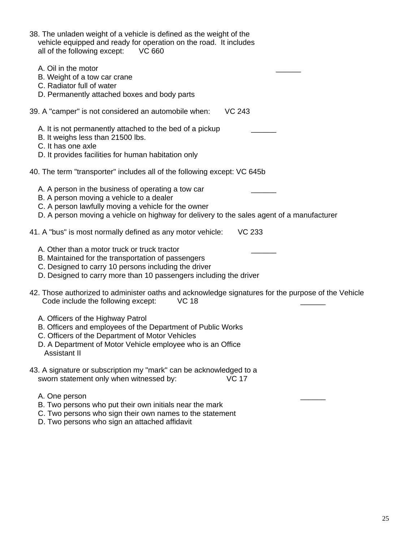| 38. The unladen weight of a vehicle is defined as the weight of the<br>vehicle equipped and ready for operation on the road. It includes<br>all of the following except: VC 660                                                                    |
|----------------------------------------------------------------------------------------------------------------------------------------------------------------------------------------------------------------------------------------------------|
| A. Oil in the motor<br>B. Weight of a tow car crane<br>C. Radiator full of water<br>D. Permanently attached boxes and body parts                                                                                                                   |
| <b>VC 243</b><br>39. A "camper" is not considered an automobile when:                                                                                                                                                                              |
| A. It is not permanently attached to the bed of a pickup<br>B. It weighs less than 21500 lbs.<br>C. It has one axle<br>D. It provides facilities for human habitation only                                                                         |
| 40. The term "transporter" includes all of the following except: VC 645b                                                                                                                                                                           |
| A. A person in the business of operating a tow car<br>B. A person moving a vehicle to a dealer<br>C. A person lawfully moving a vehicle for the owner<br>D. A person moving a vehicle on highway for delivery to the sales agent of a manufacturer |
| 41. A "bus" is most normally defined as any motor vehicle:<br><b>VC 233</b>                                                                                                                                                                        |
| A. Other than a motor truck or truck tractor<br>B. Maintained for the transportation of passengers<br>C. Designed to carry 10 persons including the driver<br>D. Designed to carry more than 10 passengers including the driver                    |
| 42. Those authorized to administer oaths and acknowledge signatures for the purpose of the Vehicle<br><b>VC 18</b><br>Code include the following except:                                                                                           |
| A. Officers of the Highway Patrol<br>B. Officers and employees of the Department of Public Works<br>C. Officers of the Department of Motor Vehicles                                                                                                |

- D. A Department of Motor Vehicle employee who is an Office Assistant II
- 43. A signature or subscription my "mark" can be acknowledged to a<br>sworn statement only when witnessed by: VC 17 sworn statement only when witnessed by:
- A. One person example and the set of the set of the set of the set of the set of the set of the set of the set of the set of the set of the set of the set of the set of the set of the set of the set of the set of the set o
- B. Two persons who put their own initials near the mark
- C. Two persons who sign their own names to the statement
- D. Two persons who sign an attached affidavit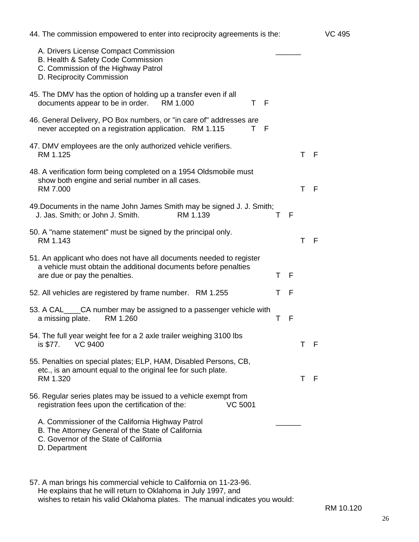| 44. The commission empowered to enter into reciprocity agreements is the:                                                                                               |     |   |    |     | VC 495 |
|-------------------------------------------------------------------------------------------------------------------------------------------------------------------------|-----|---|----|-----|--------|
| A. Drivers License Compact Commission<br>B. Health & Safety Code Commission<br>C. Commission of the Highway Patrol<br>D. Reciprocity Commission                         |     |   |    |     |        |
| 45. The DMV has the option of holding up a transfer even if all<br>documents appear to be in order. RM 1.000<br>T F                                                     |     |   |    |     |        |
| 46. General Delivery, PO Box numbers, or "in care of" addresses are<br>T F<br>never accepted on a registration application. RM 1.115                                    |     |   |    |     |        |
| 47. DMV employees are the only authorized vehicle verifiers.<br>RM 1.125                                                                                                |     |   | T. | - F |        |
| 48. A verification form being completed on a 1954 Oldsmobile must<br>show both engine and serial number in all cases.<br>RM 7.000                                       |     |   | T  | - F |        |
| 49. Documents in the name John James Smith may be signed J. J. Smith;<br>RM 1.139<br>J. Jas. Smith; or John J. Smith.                                                   | т   | F |    |     |        |
| 50. A "name statement" must be signed by the principal only.<br>RM 1.143                                                                                                |     |   | Τ  | - F |        |
| 51. An applicant who does not have all documents needed to register<br>a vehicle must obtain the additional documents before penalties<br>are due or pay the penalties. | T F |   |    |     |        |
| 52. All vehicles are registered by frame number. RM 1.255                                                                                                               | Τ   | F |    |     |        |
| 53. A CAL____CA number may be assigned to a passenger vehicle with<br>a missing plate.<br>RM 1.260                                                                      | т   | F |    |     |        |
| 54. The full year weight fee for a 2 axle trailer weighing 3100 lbs<br>is \$77. VC 9400                                                                                 |     |   | Τ  | - F |        |
| 55. Penalties on special plates; ELP, HAM, Disabled Persons, CB,<br>etc., is an amount equal to the original fee for such plate.<br>RM 1.320                            |     |   | T  | - F |        |
| 56. Regular series plates may be issued to a vehicle exempt from<br>registration fees upon the certification of the:<br><b>VC 5001</b>                                  |     |   |    |     |        |
| A. Commissioner of the California Highway Patrol<br>B. The Attorney General of the State of California<br>C. Governor of the State of California<br>D. Department       |     |   |    |     |        |
|                                                                                                                                                                         |     |   |    |     |        |

57. A man brings his commercial vehicle to California on 11-23-96. He explains that he will return to Oklahoma in July 1997, and wishes to retain his valid Oklahoma plates. The manual indicates you would:

RM 10.120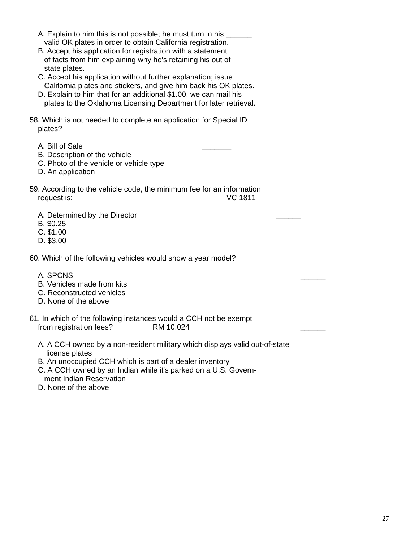- A. Explain to him this is not possible; he must turn in his valid OK plates in order to obtain California registration.
- B. Accept his application for registration with a statement of facts from him explaining why he's retaining his out of state plates.
- C. Accept his application without further explanation; issue California plates and stickers, and give him back his OK plates.
- D. Explain to him that for an additional \$1.00, we can mail his plates to the Oklahoma Licensing Department for later retrieval.
- 58. Which is not needed to complete an application for Special ID plates?
	- A. Bill of Sale
	- B. Description of the vehicle
	- C. Photo of the vehicle or vehicle type
	- D. An application
- 59. According to the vehicle code, the minimum fee for an information request is: VC 1811
	- A. Determined by the Director
	- B. \$0.25
	- C. \$1.00
	- D. \$3.00
- 60. Which of the following vehicles would show a year model?
	- A. SPCNS
	- B. Vehicles made from kits
	- C. Reconstructed vehicles
	- D. None of the above
- 61. In which of the following instances would a CCH not be exempt from registration fees? RM 10.024
	- A. A CCH owned by a non-resident military which displays valid out-of-state license plates
	- B. An unoccupied CCH which is part of a dealer inventory
	- C. A CCH owned by an Indian while it's parked on a U.S. Govern ment Indian Reservation
	- D. None of the above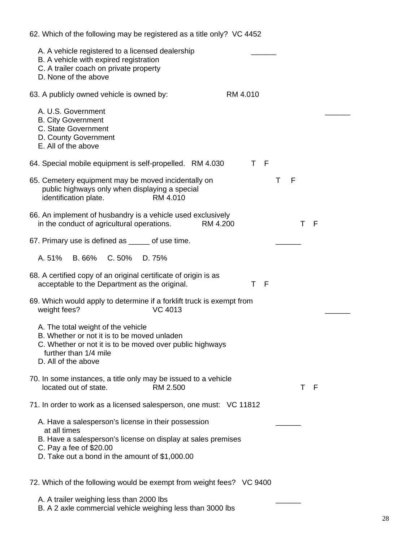| 62. Which of the following may be registered as a title only? VC 4452                                                                                                                                            |                      |
|------------------------------------------------------------------------------------------------------------------------------------------------------------------------------------------------------------------|----------------------|
| A. A vehicle registered to a licensed dealership<br>B. A vehicle with expired registration<br>C. A trailer coach on private property<br>D. None of the above                                                     |                      |
| 63. A publicly owned vehicle is owned by:                                                                                                                                                                        | RM 4.010             |
| A. U.S. Government<br><b>B. City Government</b><br>C. State Government<br>D. County Government<br>E. All of the above                                                                                            |                      |
| 64. Special mobile equipment is self-propelled. RM 4.030                                                                                                                                                         | F<br>T.              |
| 65. Cemetery equipment may be moved incidentally on<br>public highways only when displaying a special<br>identification plate.<br>RM 4.010                                                                       | F<br>Т               |
| 66. An implement of husbandry is a vehicle used exclusively<br>in the conduct of agricultural operations.                                                                                                        | - F<br>RM 4.200<br>Τ |
| 67. Primary use is defined as _____ of use time.                                                                                                                                                                 |                      |
| A. 51%<br>B. 66%<br>C.50% D.75%                                                                                                                                                                                  |                      |
| 68. A certified copy of an original certificate of origin is as<br>acceptable to the Department as the original.                                                                                                 | F<br>т               |
| 69. Which would apply to determine if a forklift truck is exempt from<br>weight fees?<br><b>VC 4013</b>                                                                                                          |                      |
| A. The total weight of the vehicle<br>B. Whether or not it is to be moved unladen<br>C. Whether or not it is to be moved over public highways<br>further than 1/4 mile<br>D. All of the above                    |                      |
| 70. In some instances, a title only may be issued to a vehicle<br>located out of state.<br>RM 2.500                                                                                                              | Τ<br>- F             |
| 71. In order to work as a licensed salesperson, one must: VC 11812                                                                                                                                               |                      |
| A. Have a salesperson's license in their possession<br>at all times<br>B. Have a salesperson's license on display at sales premises<br>C. Pay a fee of \$20.00<br>D. Take out a bond in the amount of \$1,000.00 |                      |
| 72. Which of the following would be exempt from weight fees? VC 9400                                                                                                                                             |                      |
| A. A trailer weighing less than 2000 lbs                                                                                                                                                                         |                      |

B. A 2 axle commercial vehicle weighing less than 3000 lbs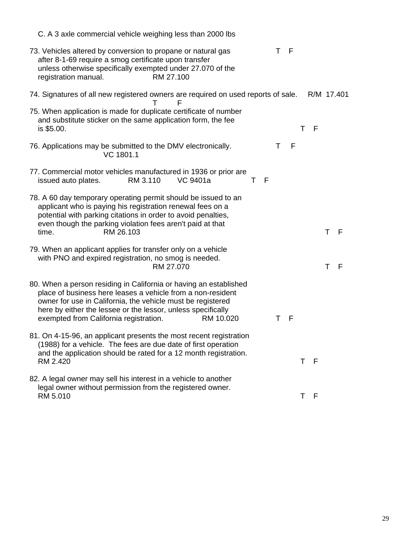| C. A 3 axle commercial vehicle weighing less than 2000 lbs                                                                                                                                                                                                                                                                       |
|----------------------------------------------------------------------------------------------------------------------------------------------------------------------------------------------------------------------------------------------------------------------------------------------------------------------------------|
| 73. Vehicles altered by conversion to propane or natural gas<br>- F<br>Τ<br>after 8-1-69 require a smog certificate upon transfer<br>unless otherwise specifically exempted under 27.070 of the<br>registration manual.<br>RM 27.100                                                                                             |
| 74. Signatures of all new registered owners are required on used reports of sale.<br>R/M 17.401<br>F<br>т                                                                                                                                                                                                                        |
| 75. When application is made for duplicate certificate of number<br>and substitute sticker on the same application form, the fee<br>F<br>is \$5.00.<br>т                                                                                                                                                                         |
| F<br>76. Applications may be submitted to the DMV electronically.<br>т<br>VC 1801.1                                                                                                                                                                                                                                              |
| 77. Commercial motor vehicles manufactured in 1936 or prior are<br>RM 3.110<br>VC 9401a<br>issued auto plates.<br>Τ<br>F                                                                                                                                                                                                         |
| 78. A 60 day temporary operating permit should be issued to an<br>applicant who is paying his registration renewal fees on a<br>potential with parking citations in order to avoid penalties,<br>even though the parking violation fees aren't paid at that<br>Τ<br>-F<br>time.<br>RM 26.103                                     |
| 79. When an applicant applies for transfer only on a vehicle<br>with PNO and expired registration, no smog is needed.<br>T<br>RM 27.070<br>F                                                                                                                                                                                     |
| 80. When a person residing in California or having an established<br>place of business here leases a vehicle from a non-resident<br>owner for use in California, the vehicle must be registered<br>here by either the lessee or the lessor, unless specifically<br>exempted from California registration.<br>RM 10.020<br>F<br>т |
| 81. On 4-15-96, an applicant presents the most recent registration<br>(1988) for a vehicle. The fees are due date of first operation<br>and the application should be rated for a 12 month registration.<br>RM 2.420<br>F<br>Τ                                                                                                   |
| 82. A legal owner may sell his interest in a vehicle to another<br>legal owner without permission from the registered owner.<br>RM 5.010<br>F<br>Τ                                                                                                                                                                               |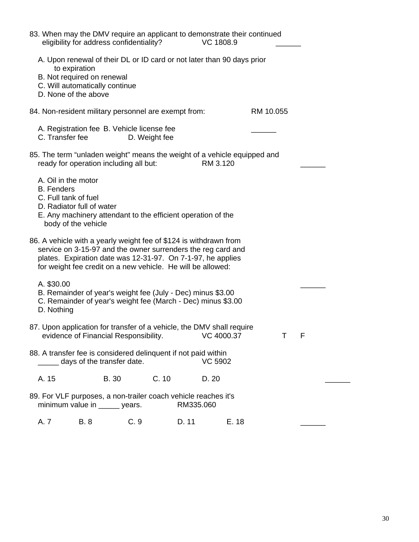| 83. When may the DMV require an applicant to demonstrate their continued | eligibility for address confidentiality?                                                                                                                                                   |     |               | VC 1808.9      |       |           |     |
|--------------------------------------------------------------------------|--------------------------------------------------------------------------------------------------------------------------------------------------------------------------------------------|-----|---------------|----------------|-------|-----------|-----|
|                                                                          | A. Upon renewal of their DL or ID card or not later than 90 days prior<br>to expiration<br>B. Not required on renewal<br>C. Will automatically continue<br>D. None of the above            |     |               |                |       |           |     |
| 84. Non-resident military personnel are exempt from:                     |                                                                                                                                                                                            |     |               |                |       | RM 10.055 |     |
| C. Transfer fee                                                          | A. Registration fee B. Vehicle license fee                                                                                                                                                 |     | D. Weight fee |                |       |           |     |
| 85. The term "unladen weight" means the weight of a vehicle equipped and | ready for operation including all but:                                                                                                                                                     |     |               | RM 3.120       |       |           |     |
| A. Oil in the motor<br><b>B.</b> Fenders<br>C. Full tank of fuel         | D. Radiator full of water<br>E. Any machinery attendant to the efficient operation of the<br>body of the vehicle                                                                           |     |               |                |       |           |     |
| 86. A vehicle with a yearly weight fee of \$124 is withdrawn from        | service on 3-15-97 and the owner surrenders the reg card and<br>plates. Expiration date was 12-31-97. On 7-1-97, he applies<br>for weight fee credit on a new vehicle. He will be allowed: |     |               |                |       |           |     |
| A. \$30.00<br>D. Nothing                                                 | B. Remainder of year's weight fee (July - Dec) minus \$3.00<br>C. Remainder of year's weight fee (March - Dec) minus \$3.00                                                                |     |               |                |       |           |     |
| 87. Upon application for transfer of a vehicle, the DMV shall require    | evidence of Financial Responsibility. VC 4000.37                                                                                                                                           |     |               |                |       | $\top$    | - F |
| 88. A transfer fee is considered delinquent if not paid within           | days of the transfer date.                                                                                                                                                                 |     |               | <b>VC 5902</b> |       |           |     |
| A. 15                                                                    | <b>B.</b> 30                                                                                                                                                                               |     | C.10          | D. 20          |       |           |     |
| 89. For VLF purposes, a non-trailer coach vehicle reaches it's           | minimum value in _____ years.                                                                                                                                                              |     |               | RM335.060      |       |           |     |
| A. 7                                                                     | <b>B.8</b>                                                                                                                                                                                 | C.9 | D. 11         |                | E. 18 |           |     |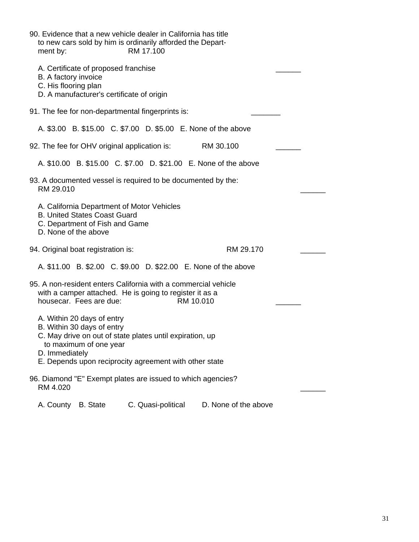| 90. Evidence that a new vehicle dealer in California has title<br>to new cars sold by him is ordinarily afforded the Depart-<br>ment by:                                                                                   | RM 17.100 |           |  |
|----------------------------------------------------------------------------------------------------------------------------------------------------------------------------------------------------------------------------|-----------|-----------|--|
| A. Certificate of proposed franchise<br>B. A factory invoice<br>C. His flooring plan<br>D. A manufacturer's certificate of origin                                                                                          |           |           |  |
| 91. The fee for non-departmental fingerprints is:                                                                                                                                                                          |           |           |  |
| A. \$3.00 B. \$15.00 C. \$7.00 D. \$5.00 E. None of the above                                                                                                                                                              |           |           |  |
| 92. The fee for OHV original application is:                                                                                                                                                                               | RM 30.100 |           |  |
| A. \$10.00 B. \$15.00 C. \$7.00 D. \$21.00 E. None of the above                                                                                                                                                            |           |           |  |
| 93. A documented vessel is required to be documented by the:<br>RM 29.010                                                                                                                                                  |           |           |  |
| A. California Department of Motor Vehicles<br><b>B. United States Coast Guard</b><br>C. Department of Fish and Game<br>D. None of the above                                                                                |           |           |  |
| 94. Original boat registration is:                                                                                                                                                                                         |           | RM 29.170 |  |
| A. \$11.00 B. \$2.00 C. \$9.00 D. \$22.00 E. None of the above                                                                                                                                                             |           |           |  |
| 95. A non-resident enters California with a commercial vehicle<br>with a camper attached. He is going to register it as a<br>housecar. Fees are due:                                                                       | RM 10.010 |           |  |
| A. Within 20 days of entry<br>B. Within 30 days of entry<br>C. May drive on out of state plates until expiration, up<br>to maximum of one year<br>D. Immediately<br>E. Depends upon reciprocity agreement with other state |           |           |  |
| 96. Diamond "E" Exempt plates are issued to which agencies?<br>RM 4.020                                                                                                                                                    |           |           |  |

A. County B. State C. Quasi-political D. None of the above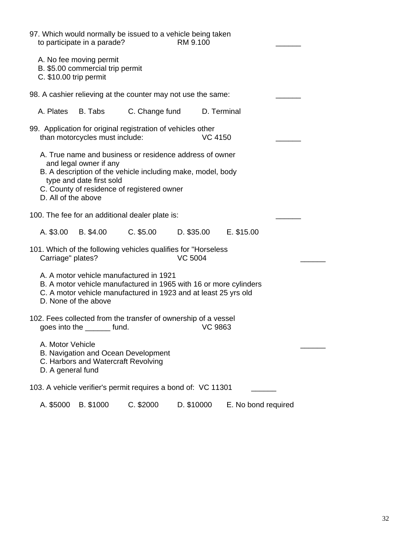| 97. Which would normally be issued to a vehicle being taken<br>to participate in a parade?                                                                                                                                                        |                            | RM 9.100                |                     |  |
|---------------------------------------------------------------------------------------------------------------------------------------------------------------------------------------------------------------------------------------------------|----------------------------|-------------------------|---------------------|--|
| A. No fee moving permit<br>B. \$5.00 commercial trip permit<br>C. \$10.00 trip permit                                                                                                                                                             |                            |                         |                     |  |
| 98. A cashier relieving at the counter may not use the same:                                                                                                                                                                                      |                            |                         |                     |  |
| B. Tabs<br>A. Plates                                                                                                                                                                                                                              | C. Change fund D. Terminal |                         |                     |  |
| 99. Application for original registration of vehicles other<br>than motorcycles must include:                                                                                                                                                     |                            | <b>VC 4150</b>          |                     |  |
| A. True name and business or residence address of owner<br>and legal owner if any<br>B. A description of the vehicle including make, model, body<br>type and date first sold<br>C. County of residence of registered owner<br>D. All of the above |                            |                         |                     |  |
| 100. The fee for an additional dealer plate is:                                                                                                                                                                                                   |                            |                         |                     |  |
| A. \$3.00 B. \$4.00                                                                                                                                                                                                                               | $C.$ \$5.00                | $D.$ \$35.00 E. \$15.00 |                     |  |
| 101. Which of the following vehicles qualifies for "Horseless"<br>Carriage" plates?                                                                                                                                                               |                            | <b>VC 5004</b>          |                     |  |
| A. A motor vehicle manufactured in 1921<br>B. A motor vehicle manufactured in 1965 with 16 or more cylinders<br>C. A motor vehicle manufactured in 1923 and at least 25 yrs old<br>D. None of the above                                           |                            |                         |                     |  |
| 102. Fees collected from the transfer of ownership of a vessel<br>goes into the _______ fund.                                                                                                                                                     |                            | <b>VC 9863</b>          |                     |  |
| A. Motor Vehicle<br>B. Navigation and Ocean Development<br>C. Harbors and Watercraft Revolving<br>D. A general fund                                                                                                                               |                            |                         |                     |  |
| 103. A vehicle verifier's permit requires a bond of: VC 11301                                                                                                                                                                                     |                            |                         |                     |  |
| B. \$1000<br>A. \$5000                                                                                                                                                                                                                            | C. \$2000                  | D. \$10000              | E. No bond required |  |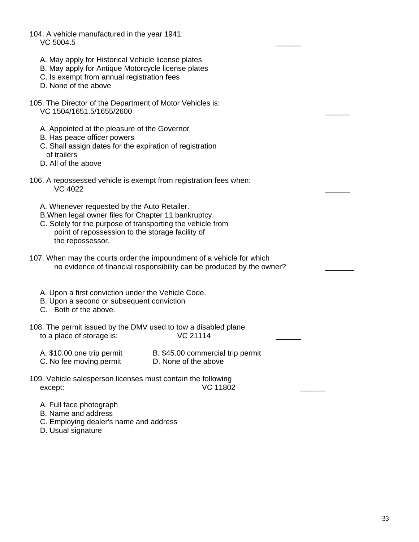- 104. A vehicle manufactured in the year 1941: VC 5004.5 \_\_\_\_\_\_ A. May apply for Historical Vehicle license plates B. May apply for Antique Motorcycle license plates C. Is exempt from annual registration fees D. None of the above 105. The Director of the Department of Motor Vehicles is: VC 1504/1651.5/1655/2600 A. Appointed at the pleasure of the Governor B. Has peace officer powers C. Shall assign dates for the expiration of registration of trailers D. All of the above 106. A repossessed vehicle is exempt from registration fees when: VC 4022 **and 2012 and 2012 and 2012 and 2013 and 2013 and 2013 and 2013 and 2013 and 2013 and 2013**  A. Whenever requested by the Auto Retailer. B.When legal owner files for Chapter 11 bankruptcy. C. Solely for the purpose of transporting the vehicle from point of repossession to the storage facility of the repossessor. 107. When may the courts order the impoundment of a vehicle for which no evidence of financial responsibility can be produced by the owner? A. Upon a first conviction under the Vehicle Code. B. Upon a second or subsequent conviction C. Both of the above. 108. The permit issued by the DMV used to tow a disabled plane<br>to a place of storage is:<br>VC 21114 to a place of storage is: A. \$10.00 one trip permit B. \$45.00 commercial trip permit C. No fee moving permit D. None of the above 109. Vehicle salesperson licenses must contain the following except:  $VC 11802$ 
	- A. Full face photograph
	- B. Name and address
	- C. Employing dealer's name and address
	- D. Usual signature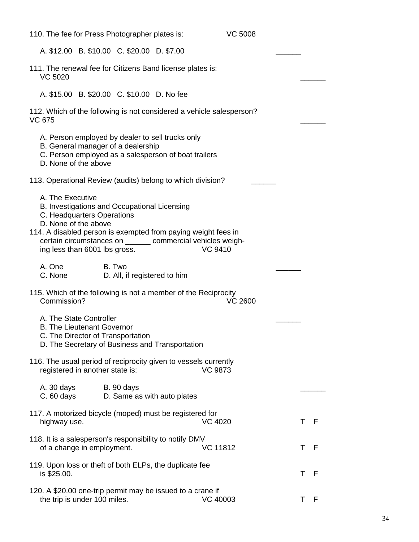| 110. The fee for Press Photographer plates is:                                                                                                                                                                                                                                          |                                                  | <b>VC 5008</b>  |         |
|-----------------------------------------------------------------------------------------------------------------------------------------------------------------------------------------------------------------------------------------------------------------------------------------|--------------------------------------------------|-----------------|---------|
| A. \$12.00 B. \$10.00 C. \$20.00 D. \$7.00                                                                                                                                                                                                                                              |                                                  |                 |         |
| 111. The renewal fee for Citizens Band license plates is:<br><b>VC 5020</b>                                                                                                                                                                                                             |                                                  |                 |         |
| A. \$15.00 B. \$20.00 C. \$10.00 D. No fee                                                                                                                                                                                                                                              |                                                  |                 |         |
| 112. Which of the following is not considered a vehicle salesperson?<br><b>VC 675</b>                                                                                                                                                                                                   |                                                  |                 |         |
| A. Person employed by dealer to sell trucks only<br>B. General manager of a dealership<br>C. Person employed as a salesperson of boat trailers<br>D. None of the above                                                                                                                  |                                                  |                 |         |
| 113. Operational Review (audits) belong to which division?                                                                                                                                                                                                                              |                                                  |                 |         |
| A. The Executive<br>B. Investigations and Occupational Licensing<br>C. Headquarters Operations<br>D. None of the above<br>114. A disabled person is exempted from paying weight fees in<br>certain circumstances on _______ commercial vehicles weigh-<br>ing less than 6001 lbs gross. |                                                  | <b>VC 9410</b>  |         |
| A. One<br>C. None                                                                                                                                                                                                                                                                       | B. Two<br>D. All, if registered to him           |                 |         |
| 115. Which of the following is not a member of the Reciprocity<br>Commission?                                                                                                                                                                                                           |                                                  | <b>VC 2600</b>  |         |
| A. The State Controller<br><b>B. The Lieutenant Governor</b><br>C. The Director of Transportation<br>D. The Secretary of Business and Transportation                                                                                                                                    |                                                  |                 |         |
| 116. The usual period of reciprocity given to vessels currently<br>registered in another state is:                                                                                                                                                                                      |                                                  | <b>VC 9873</b>  |         |
| A. 30 days<br>$C.60$ days                                                                                                                                                                                                                                                               | <b>B.</b> 90 days<br>D. Same as with auto plates |                 |         |
| 117. A motorized bicycle (moped) must be registered for<br>highway use.                                                                                                                                                                                                                 |                                                  | <b>VC 4020</b>  | T F     |
| 118. It is a salesperson's responsibility to notify DMV<br>of a change in employment.                                                                                                                                                                                                   |                                                  | <b>VC 11812</b> | Τ<br>-F |
| 119. Upon loss or theft of both ELPs, the duplicate fee<br>is \$25.00.                                                                                                                                                                                                                  |                                                  |                 | T F     |
| 120. A \$20.00 one-trip permit may be issued to a crane if<br>the trip is under 100 miles.                                                                                                                                                                                              |                                                  | VC 40003        | T F     |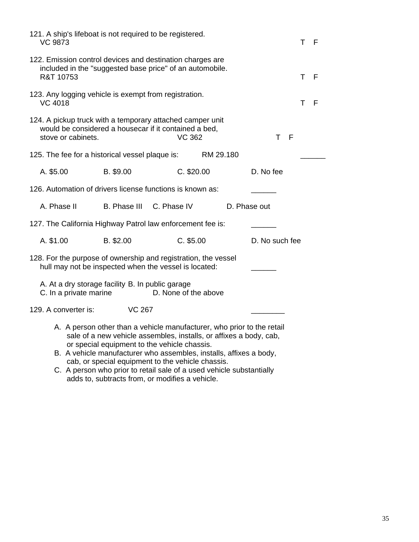| 121. A ship's lifeboat is not required to be registered.<br><b>VC 9873</b>                                                               |                          |                                                                                                                                                                                                                                                                    |                | T F      |  |
|------------------------------------------------------------------------------------------------------------------------------------------|--------------------------|--------------------------------------------------------------------------------------------------------------------------------------------------------------------------------------------------------------------------------------------------------------------|----------------|----------|--|
| 122. Emission control devices and destination charges are<br>included in the "suggested base price" of an automobile.<br>R&T 10753       |                          |                                                                                                                                                                                                                                                                    |                | T F      |  |
| 123. Any logging vehicle is exempt from registration.<br><b>VC 4018</b>                                                                  |                          |                                                                                                                                                                                                                                                                    |                | Τ<br>- F |  |
| 124. A pickup truck with a temporary attached camper unit<br>would be considered a housecar if it contained a bed,<br>stove or cabinets. |                          | <b>VC 362</b>                                                                                                                                                                                                                                                      | T F            |          |  |
| 125. The fee for a historical vessel plaque is: RM 29.180                                                                                |                          |                                                                                                                                                                                                                                                                    |                |          |  |
| A. \$5.00                                                                                                                                | B. \$9.00                | C. \$20.00                                                                                                                                                                                                                                                         | D. No fee      |          |  |
| 126. Automation of drivers license functions is known as:                                                                                |                          |                                                                                                                                                                                                                                                                    |                |          |  |
| A. Phase II                                                                                                                              | B. Phase III C. Phase IV |                                                                                                                                                                                                                                                                    | D. Phase out   |          |  |
| 127. The California Highway Patrol law enforcement fee is:                                                                               |                          |                                                                                                                                                                                                                                                                    |                |          |  |
| A. \$1.00                                                                                                                                | B. \$2.00                | $C.$ \$5.00                                                                                                                                                                                                                                                        | D. No such fee |          |  |
| 128. For the purpose of ownership and registration, the vessel<br>hull may not be inspected when the vessel is located:                  |                          |                                                                                                                                                                                                                                                                    |                |          |  |
| A. At a dry storage facility B. In public garage<br>C. In a private marine                                                               |                          | D. None of the above                                                                                                                                                                                                                                               |                |          |  |
| 129. A converter is:                                                                                                                     | <b>VC 267</b>            |                                                                                                                                                                                                                                                                    |                |          |  |
|                                                                                                                                          |                          | A. A person other than a vehicle manufacturer, who prior to the retail<br>sale of a new vehicle assembles, installs, or affixes a body, cab,<br>or special equipment to the vehicle chassis.<br>B. A vehicle manufacturer who assembles, installs, affixes a body, |                |          |  |

 cab, or special equipment to the vehicle chassis. C. A person who prior to retail sale of a used vehicle substantially adds to, subtracts from, or modifies a vehicle.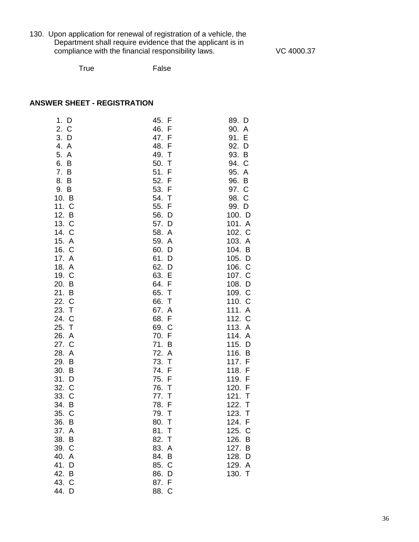130. Upon application for renewal of registration of a vehicle, the Department shall require evidence that the applicant is in compliance with the financial responsibility laws. VC 4000.37

True False

# **ANSWER SHEET - REGISTRATION**

| 1. D                      | 45. F                          | 89. D            |
|---------------------------|--------------------------------|------------------|
| 2. C                      | 46. F                          | 90. A            |
| 3.<br>D                   | 47. F                          | 91. E            |
| 4.<br>$\mathsf{A}$<br>5.  | 48. F<br>49.<br>$\top$         | 92. D<br>93. B   |
| $\overline{A}$<br>6.<br>B | 50.<br>$\top$                  | 94. C            |
| 7.<br>B                   | 51. F                          | 95. A            |
| 8.<br>B                   | 52. F                          | 96. B            |
| 9. B                      | 53. F                          | 97. C            |
| 10. B                     | 54.<br>$\top$                  | 98. C            |
| 11. C                     | 55. F                          | 99. D            |
| 12. B                     | 56. D                          | 100. D           |
| 13. C                     | 57. D                          | 101. A           |
| 14. C                     | 58. A                          | 102. C           |
| 15. A                     | 59. A                          | 103. A           |
| 16. C                     | 60. D                          | 104.<br>B        |
| 17. A                     | 61. D                          | 105.<br>D        |
| 18. A                     | 62. D                          | 106. C           |
| 19. C                     | 63.<br>E                       | 107. C           |
| 20. B<br>21. B            | 64.<br>F<br>65.<br>T           | 108. D<br>109. C |
| 22. C                     | 66.<br>Т                       | 110. C           |
| 23.<br>$\top$             | 67. A                          | 111. A           |
| 24. C                     | 68. F                          | 112. C           |
| 25.<br>$\top$             | 69. C                          | 113. A           |
| 26. A                     | 70. F                          | 114. A           |
| 27. C                     | 71. B                          | 115.<br>D        |
| 28. A                     | 72. A                          | 116. B           |
| 29. B                     | 73. T                          | 117. F           |
| 30. B                     | 74. F                          | 118. F           |
| 31. D                     | 75. F                          | 119. F           |
| 32. C<br>33. C            | 76.<br>$\top$<br>77.<br>$\top$ | 120. F<br>121. T |
| 34. B                     | 78. F                          | 122.<br>T        |
| 35.<br>C                  | 79.<br>$\top$                  | 123.<br>T        |
| 36. B                     | 80. T                          | 124.<br>-F       |
| 37. A                     | 81. T                          | 125. C           |
| 38. B                     | 82. T                          | 126. B           |
| 39. C                     | 83. A                          | 127. B           |
| 40. A                     | 84. B                          | 128. D           |
| 41. D                     | 85. C                          | 129. A           |
| 42. B                     | 86. D                          | 130. T           |
| 43. C                     | 87. F                          |                  |
| 44. D                     | 88. C                          |                  |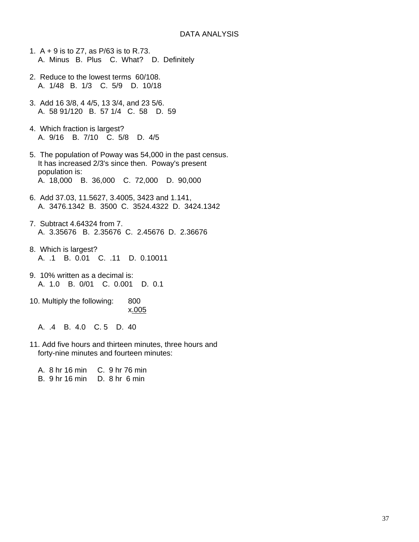- 1. A + 9 is to Z7, as P/63 is to R.73. A. Minus B. Plus C. What? D. Definitely
- 2. Reduce to the lowest terms 60/108. A. 1/48 B. 1/3 C. 5/9 D. 10/18
- 3. Add 16 3/8, 4 4/5, 13 3/4, and 23 5/6. A. 58 91/120 B. 57 1/4 C. 58 D. 59
- 4. Which fraction is largest? A. 9/16 B. 7/10 C. 5/8 D. 4/5
- 5. The population of Poway was 54,000 in the past census. It has increased 2/3's since then. Poway's present population is: A. 18,000 B. 36,000 C. 72,000 D. 90,000
- 6. Add 37.03, 11.5627, 3.4005, 3423 and 1.141, A. 3476.1342 B. 3500 C. 3524.4322 D. 3424.1342
- 7. Subtract 4.64324 from 7. A. 3.35676 B. 2.35676 C. 2.45676 D. 2.36676
- 8. Which is largest? A. .1 B. 0.01 C. .11 D. 0.10011
- 9. 10% written as a decimal is: A. 1.0 B. 0/01 C. 0.001 D. 0.1
- 10. Multiply the following: 800 x.005
	- A. .4 B. 4.0 C. 5 D. 40
- 11. Add five hours and thirteen minutes, three hours and forty-nine minutes and fourteen minutes:
	- A. 8 hr 16 min C. 9 hr 76 min B. 9 hr 16 min D. 8 hr 6 min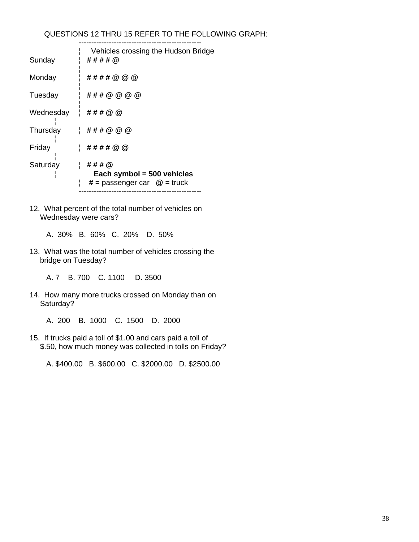### QUESTIONS 12 THRU 15 REFER TO THE FOLLOWING GRAPH:

-------------------------------------------------

|   | Vehicles crossing the Hudson Bridge<br>  ####@                                        |
|---|---------------------------------------------------------------------------------------|
|   | ####@@@                                                                               |
|   | '###@@@@                                                                              |
|   | Wednesday $\# # # @ @$                                                                |
|   | ###@@@                                                                                |
|   | ####@@                                                                                |
| ¦ | $\pm$ ### $\omega$<br>Each symbol = $500$ vehicles<br>$# =$ passenger car $@ =$ truck |
|   | Thursday                                                                              |

12. What percent of the total number of vehicles on Wednesday were cars?

A. 30% B. 60% C. 20% D. 50%

- 13. What was the total number of vehicles crossing the bridge on Tuesday?
	- A. 7 B. 700 C. 1100 D. 3500
- 14. How many more trucks crossed on Monday than on Saturday?
	- A. 200 B. 1000 C. 1500 D. 2000
- 15. If trucks paid a toll of \$1.00 and cars paid a toll of \$.50, how much money was collected in tolls on Friday?

A. \$400.00 B. \$600.00 C. \$2000.00 D. \$2500.00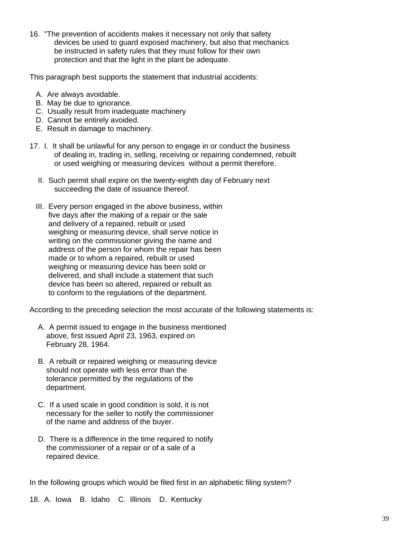16. "The prevention of accidents makes it necessary not only that safety devices be used to guard exposed machinery, but also that mechanics be instructed in safety rules that they must follow for their own protection and that the light in the plant be adequate.

This paragraph best supports the statement that industrial accidents:

- A. Are always avoidable.
- B. May be due to ignorance.
- C. Usually result from inadequate machinery
- D. Cannot be entirely avoided.
- E. Result in damage to machinery.
- 17. I. It shall be unlawful for any person to engage in or conduct the business of dealing in, trading in, selling, receiving or repairing condemned, rebuilt or used weighing or measuring devices without a permit therefore.
	- II. Such permit shall expire on the twenty-eighth day of February next succeeding the date of issuance thereof.
	- III. Every person engaged in the above business, within five days after the making of a repair or the sale and delivery of a repaired, rebuilt or used weighing or measuring device, shall serve notice in writing on the commissioner giving the name and address of the person for whom the repair has been made or to whom a repaired, rebuilt or used weighing or measuring device has been sold or delivered, and shall include a statement that such device has been so altered, repaired or rebuilt as to conform to the regulations of the department.

According to the preceding selection the most accurate of the following statements is:

- A. A permit issued to engage in the business mentioned above, first issued April 23, 1963, expired on February 28, 1964.
- B. A rebuilt or repaired weighing or measuring device should not operate with less error than the tolerance permitted by the regulations of the department.
- C. If a used scale in good condition is sold, it is not necessary for the seller to notify the commissioner of the name and address of the buyer.
- D. There is a difference in the time required to notify the commissioner of a repair or of a sale of a repaired device.

In the following groups which would be filed first in an alphabetic filing system?

18. A. Iowa B. Idaho C. Illinois D. Kentucky